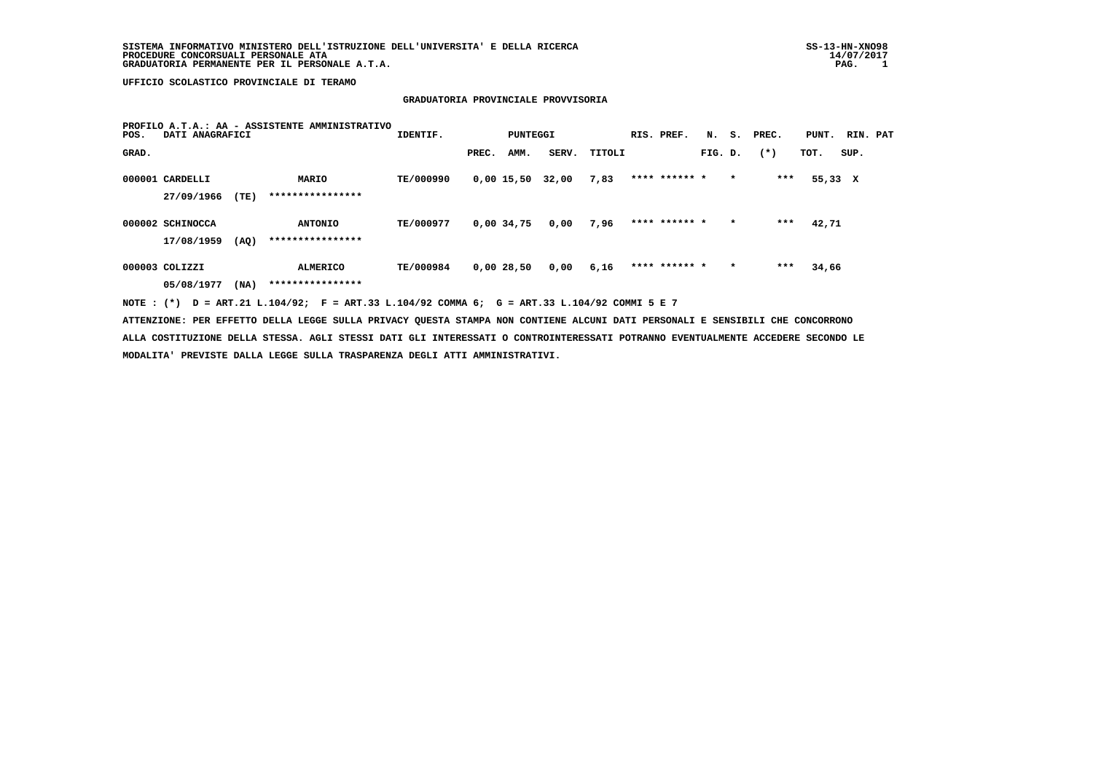#### **GRADUATORIA PROVINCIALE PROVVISORIA**

| POS.  | DATI ANAGRAFICI  |      | PROFILO A.T.A.: AA - ASSISTENTE AMMINISTRATIVO                                                                                | IDENTIF.  |       | PUNTEGGI   |       |        | RIS. PREF.    | N <sub>z</sub> |         | S. PREC. | PUNT.   | RIN. PAT |  |
|-------|------------------|------|-------------------------------------------------------------------------------------------------------------------------------|-----------|-------|------------|-------|--------|---------------|----------------|---------|----------|---------|----------|--|
| GRAD. |                  |      |                                                                                                                               |           | PREC. | AMM.       | SERV. | TITOLI |               | FIG. D.        |         | $(*)$    | тот.    | SUP.     |  |
|       | 000001 CARDELLI  |      | <b>MARIO</b>                                                                                                                  | TE/000990 |       | 0,00 15,50 | 32,00 | 7,83   | **** ****** * |                | $\star$ | ***      | 55,33 X |          |  |
|       | 27/09/1966       | (TE) | ****************                                                                                                              |           |       |            |       |        |               |                |         |          |         |          |  |
|       | 000002 SCHINOCCA |      | <b>ANTONIO</b>                                                                                                                | TE/000977 |       | 0,00 34,75 | 0,00  | 7,96   | **** ****** * |                | $\star$ | ***      | 42,71   |          |  |
|       | 17/08/1959       | (AQ) | ****************                                                                                                              |           |       |            |       |        |               |                |         |          |         |          |  |
|       | 000003 COLIZZI   |      | ALMERICO                                                                                                                      | TE/000984 |       | 0,00 28,50 | 0,00  | 6,16   | **** ****** * |                | $\star$ | ***      | 34,66   |          |  |
|       | 05/08/1977       | (NA) | ****************                                                                                                              |           |       |            |       |        |               |                |         |          |         |          |  |
|       |                  |      | NOTE: (*) D = ART.21 L.104/92; F = ART.33 L.104/92 COMMA 6; G = ART.33 L.104/92 COMMI 5 E 7                                   |           |       |            |       |        |               |                |         |          |         |          |  |
|       |                  |      | ATTENZIONE: PER EFFETTO DELLA LEGGE SULLA PRIVACY QUESTA STAMPA NON CONTIENE ALCUNI DATI PERSONALI E SENSIBILI CHE CONCORRONO |           |       |            |       |        |               |                |         |          |         |          |  |

 **ALLA COSTITUZIONE DELLA STESSA. AGLI STESSI DATI GLI INTERESSATI O CONTROINTERESSATI POTRANNO EVENTUALMENTE ACCEDERE SECONDO LE MODALITA' PREVISTE DALLA LEGGE SULLA TRASPARENZA DEGLI ATTI AMMINISTRATIVI.**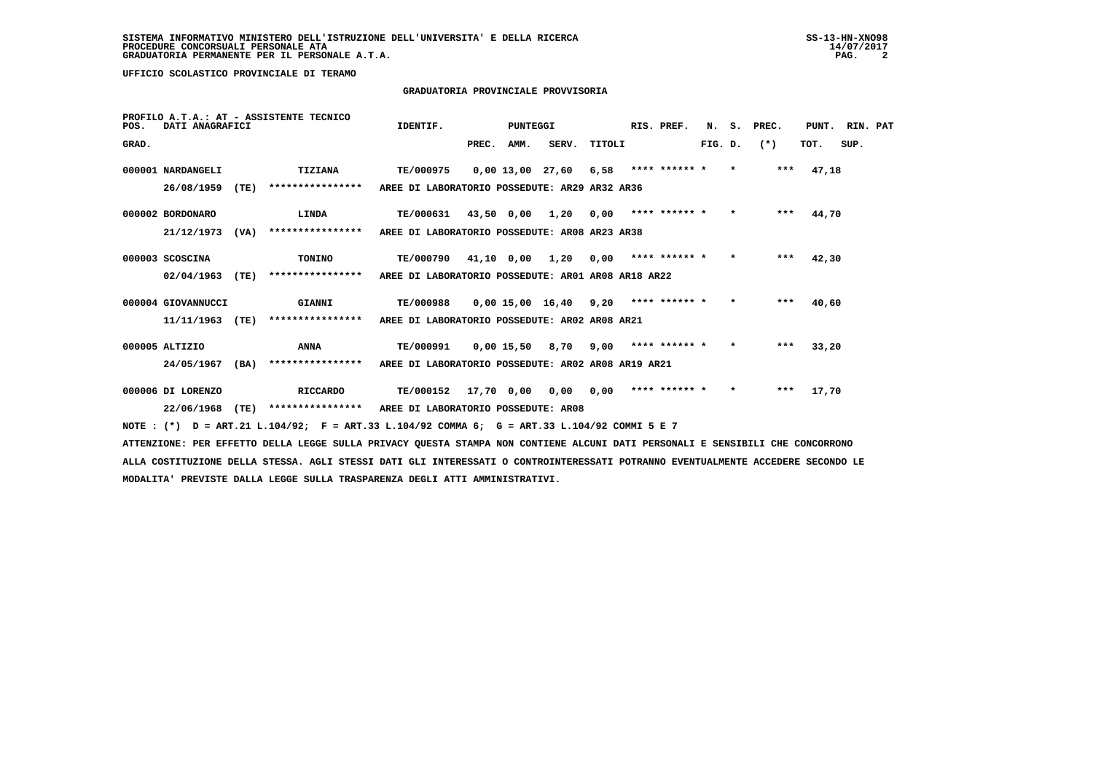# **GRADUATORIA PROVINCIALE PROVVISORIA**

| POS.  | DATI ANAGRAFICI    |      | PROFILO A.T.A.: AT - ASSISTENTE TECNICO | IDENTIF.                                           |            | PUNTEGGI     |                    |        | RIS. PREF.    | N.      | s.      | PREC. | PUNT. | RIN. PAT |  |
|-------|--------------------|------|-----------------------------------------|----------------------------------------------------|------------|--------------|--------------------|--------|---------------|---------|---------|-------|-------|----------|--|
| GRAD. |                    |      |                                         |                                                    | PREC.      | AMM.         | SERV.              | TITOLI |               | FIG. D. |         | $(*)$ | TOT.  | SUP.     |  |
|       | 000001 NARDANGELI  |      | TIZIANA                                 | TE/000975                                          |            |              | $0.00$ 13.00 27.60 | 6,58   | **** ****** * |         | $\star$ | $***$ | 47,18 |          |  |
|       | 26/08/1959         | (TE) | ****************                        | AREE DI LABORATORIO POSSEDUTE: AR29 AR32 AR36      |            |              |                    |        |               |         |         |       |       |          |  |
|       | 000002 BORDONARO   |      | LINDA                                   | TE/000631                                          | 43,50 0,00 |              | 1,20               | 0,00   | **** ****** * |         | $\star$ | $***$ | 44,70 |          |  |
|       | 21/12/1973         | (VA) | ****************                        | AREE DI LABORATORIO POSSEDUTE: AR08 AR23 AR38      |            |              |                    |        |               |         |         |       |       |          |  |
|       | 000003 SCOSCINA    |      | TONINO                                  | TE/000790                                          | 41,10 0,00 |              | 1,20               | 0,00   | **** ****** * |         | $\star$ | $***$ | 42,30 |          |  |
|       | 02/04/1963         | (TE) | ****************                        | AREE DI LABORATORIO POSSEDUTE: AR01 AR08 AR18 AR22 |            |              |                    |        |               |         |         |       |       |          |  |
|       | 000004 GIOVANNUCCI |      | GIANNI                                  | <b>TE/000988</b>                                   |            |              | $0,00$ 15,00 16,40 | 9,20   | **** ****** * |         | $\star$ | ***   | 40,60 |          |  |
|       | 11/11/1963         | (TE) | ****************                        | AREE DI LABORATORIO POSSEDUTE: AR02 AR08 AR21      |            |              |                    |        |               |         |         |       |       |          |  |
|       | 000005 ALTIZIO     |      | <b>ANNA</b>                             | TE/000991                                          |            | $0,00$ 15,50 | 8,70               | 9,00   | **** ****** * |         | $\star$ | ***   | 33,20 |          |  |
|       | 24/05/1967         | (BA) | ****************                        | AREE DI LABORATORIO POSSEDUTE: AR02 AR08 AR19 AR21 |            |              |                    |        |               |         |         |       |       |          |  |
|       | 000006 DI LORENZO  |      | <b>RICCARDO</b>                         | TE/000152                                          | 17,70 0,00 |              | 0,00               | 0,00   | **** ****** * |         | $\star$ | $***$ | 17,70 |          |  |
|       | 22/06/1968         | (TE) | ****************                        | AREE DI LABORATORIO POSSEDUTE: AR08                |            |              |                    |        |               |         |         |       |       |          |  |
|       |                    |      |                                         |                                                    |            |              |                    |        |               |         |         |       |       |          |  |

 **NOTE : (\*) D = ART.21 L.104/92; F = ART.33 L.104/92 COMMA 6; G = ART.33 L.104/92 COMMI 5 E 7**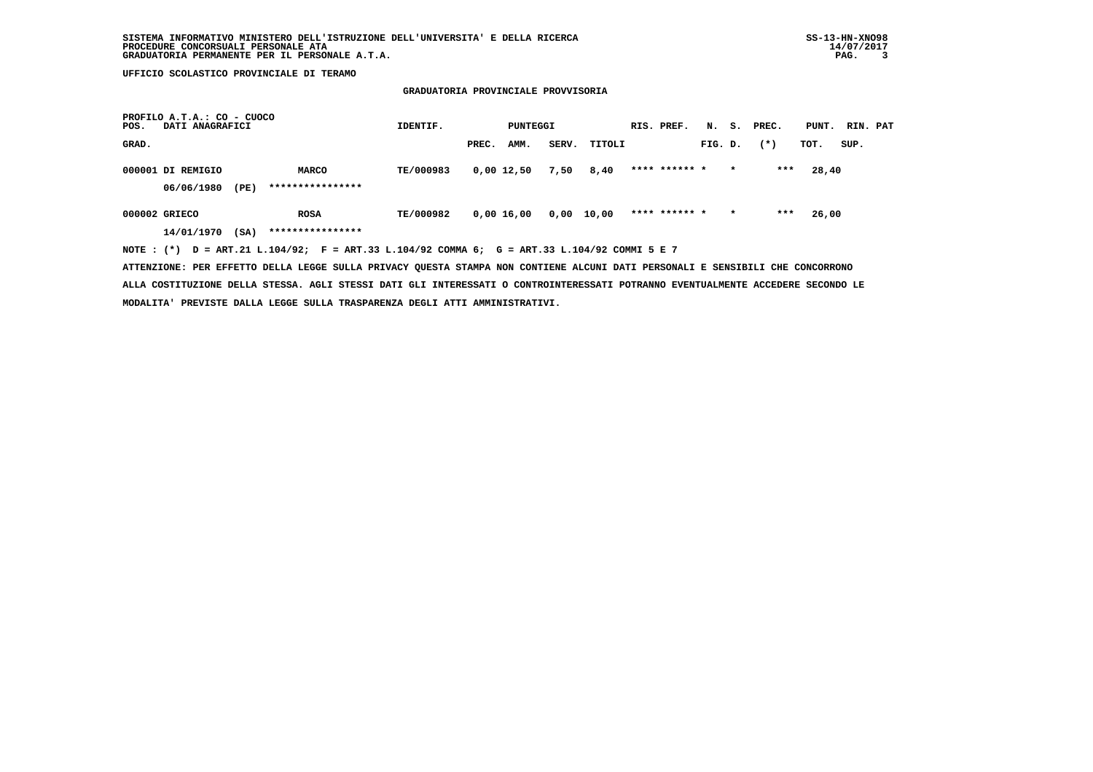## **GRADUATORIA PROVINCIALE PROVVISORIA**

| PROFILO A.T.A.: CO - CUOCO<br>DATI ANAGRAFICI<br>POS.                                       | IDENTIF.  |       | PUNTEGGI   |       |            | RIS. PREF.    | N.      |         | S. PREC. | PUNT. RIN. PAT |      |  |
|---------------------------------------------------------------------------------------------|-----------|-------|------------|-------|------------|---------------|---------|---------|----------|----------------|------|--|
| GRAD.                                                                                       |           | PREC. | AMM.       | SERV. | TITOLI     |               | FIG. D. |         | $(*)$    | TOT.           | SUP. |  |
| 000001 DI REMIGIO<br>MARCO                                                                  | TE/000983 |       | 0,00 12,50 | 7,50  | 8,40       | **** ****** * |         | $\star$ | ***      | 28,40          |      |  |
| ****************<br>06/06/1980<br>(PE)                                                      |           |       |            |       |            |               |         |         |          |                |      |  |
| 000002 GRIECO<br><b>ROSA</b>                                                                | TE/000982 |       | 0,00 16,00 |       | 0,00 10,00 | **** ****** * |         | $\star$ | ***      | 26,00          |      |  |
| ****************<br>14/01/1970<br>(SA)                                                      |           |       |            |       |            |               |         |         |          |                |      |  |
| NOTE: (*) D = ART.21 L.104/92; F = ART.33 L.104/92 COMMA 6; G = ART.33 L.104/92 COMMI 5 E 7 |           |       |            |       |            |               |         |         |          |                |      |  |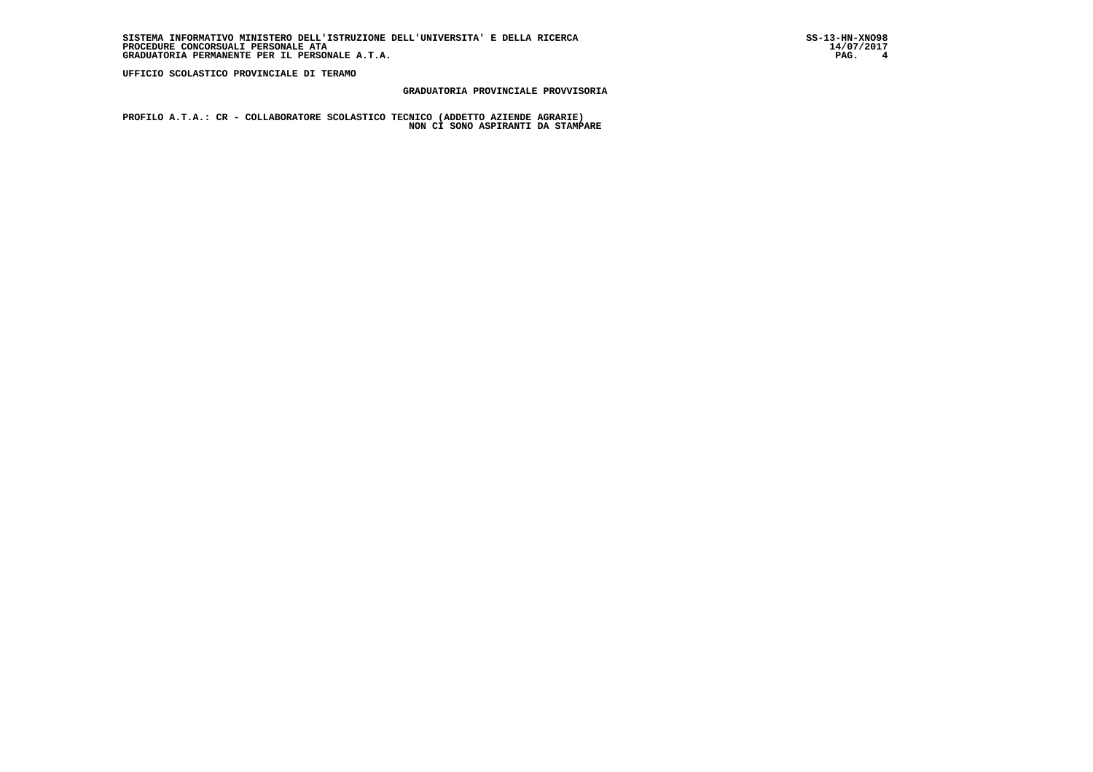# **GRADUATORIA PROVINCIALE PROVVISORIA**

 **PROFILO A.T.A.: CR - COLLABORATORE SCOLASTICO TECNICO (ADDETTO AZIENDE AGRARIE) NON CI SONO ASPIRANTI DA STAMPARE**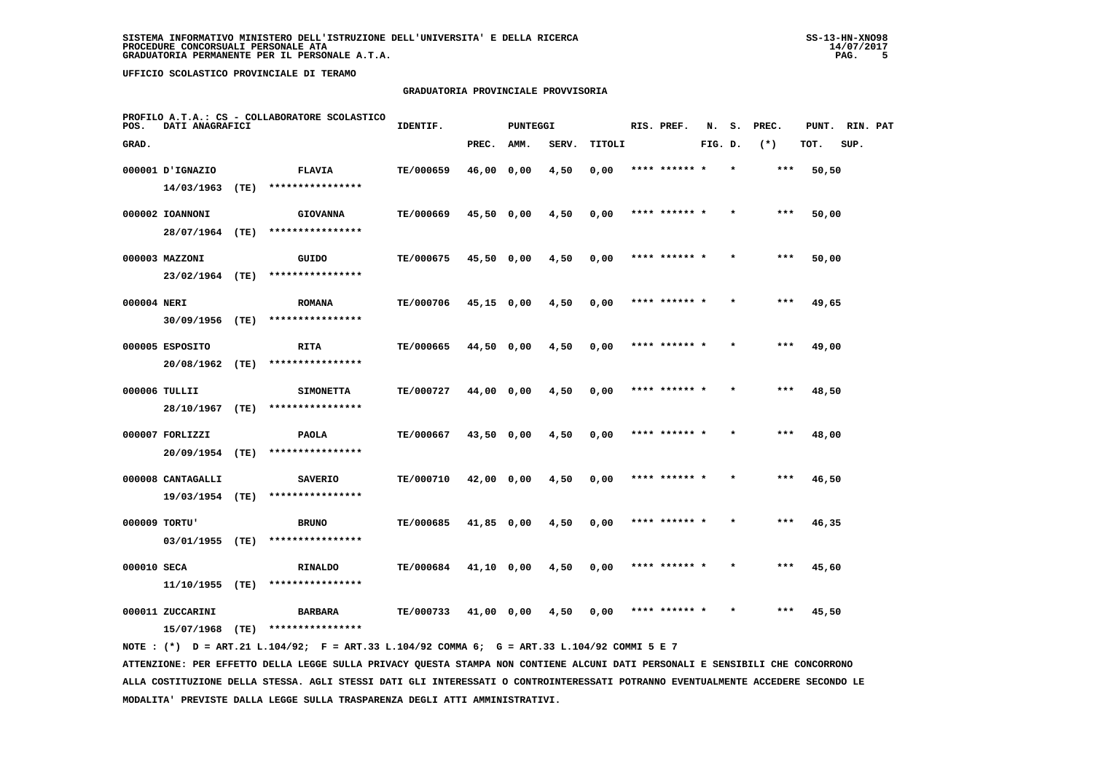# **GRADUATORIA PROVINCIALE PROVVISORIA**

| POS.        | DATI ANAGRAFICI   |      | PROFILO A.T.A.: CS - COLLABORATORE SCOLASTICO | IDENTIF.         |              | <b>PUNTEGGI</b> |       |        | RIS. PREF.    | N.      | s. | PREC. | PUNT. | RIN. PAT |  |
|-------------|-------------------|------|-----------------------------------------------|------------------|--------------|-----------------|-------|--------|---------------|---------|----|-------|-------|----------|--|
| GRAD.       |                   |      |                                               |                  | PREC.        | AMM.            | SERV. | TITOLI |               | FIG. D. |    | $(*)$ | TOT.  | SUP.     |  |
|             | 000001 D'IGNAZIO  |      | <b>FLAVIA</b>                                 | TE/000659        | 46,00 0,00   |                 | 4,50  | 0,00   | **** ****** * |         |    | ***   | 50,50 |          |  |
|             | 14/03/1963        | (TE) | ****************                              |                  |              |                 |       |        |               |         |    |       |       |          |  |
|             | 000002 IOANNONI   |      | <b>GIOVANNA</b>                               | TE/000669        | 45,50 0,00   |                 | 4,50  | 0,00   | **** ****** * |         |    | ***   | 50,00 |          |  |
|             | 28/07/1964 (TE)   |      | ****************                              |                  |              |                 |       |        |               |         |    |       |       |          |  |
|             | 000003 MAZZONI    |      | GUIDO                                         | TE/000675        | 45,50 0,00   |                 | 4,50  | 0,00   | **** ****** * |         |    | $***$ | 50,00 |          |  |
|             | 23/02/1964 (TE)   |      | ****************                              |                  |              |                 |       |        |               |         |    |       |       |          |  |
| 000004 NERI |                   |      | <b>ROMANA</b>                                 | TE/000706        | $45,15$ 0,00 |                 | 4,50  | 0,00   | **** ****** * |         |    | $***$ | 49,65 |          |  |
|             | 30/09/1956        | (TE) | ****************                              |                  |              |                 |       |        |               |         |    |       |       |          |  |
|             | 000005 ESPOSITO   |      | <b>RITA</b>                                   | TE/000665        | 44,50 0,00   |                 | 4,50  | 0,00   | **** ****** * |         |    | $***$ | 49,00 |          |  |
|             | 20/08/1962 (TE)   |      | ****************                              |                  |              |                 |       |        |               |         |    |       |       |          |  |
|             | 000006 TULLII     |      | <b>SIMONETTA</b>                              | <b>TE/000727</b> | 44,00 0,00   |                 | 4,50  | 0,00   | **** ****** * |         |    | $***$ | 48,50 |          |  |
|             | 28/10/1967 (TE)   |      | ****************                              |                  |              |                 |       |        |               |         |    |       |       |          |  |
|             | 000007 FORLIZZI   |      | <b>PAOLA</b>                                  | TE/000667        | 43,50 0,00   |                 | 4,50  | 0,00   | **** ****** * |         |    | ***   | 48,00 |          |  |
|             | 20/09/1954 (TE)   |      | ****************                              |                  |              |                 |       |        |               |         |    |       |       |          |  |
|             | 000008 CANTAGALLI |      | <b>SAVERIO</b>                                | TE/000710        | 42,00 0,00   |                 | 4,50  | 0,00   | **** ******   |         |    | ***   | 46,50 |          |  |
|             | 19/03/1954 (TE)   |      | ****************                              |                  |              |                 |       |        |               |         |    |       |       |          |  |
|             | 000009 TORTU'     |      | <b>BRUNO</b>                                  | TE/000685        | $41,85$ 0,00 |                 | 4,50  | 0,00   | **** ****** * |         |    | $***$ | 46,35 |          |  |
|             | 03/01/1955 (TE)   |      | ****************                              |                  |              |                 |       |        |               |         |    |       |       |          |  |
| 000010 SECA |                   |      | <b>RINALDO</b>                                | <b>TE/000684</b> | 41,10 0,00   |                 | 4,50  | 0,00   | **** ****** * |         |    | ***   | 45,60 |          |  |
|             | 11/10/1955        | (TE) | ****************                              |                  |              |                 |       |        |               |         |    |       |       |          |  |
|             | 000011 ZUCCARINI  |      | <b>BARBARA</b>                                | TE/000733        | 41,00 0,00   |                 | 4,50  | 0,00   | **** ******   |         |    | ***   | 45,50 |          |  |
|             | 15/07/1968        | (TE) | ****************                              |                  |              |                 |       |        |               |         |    |       |       |          |  |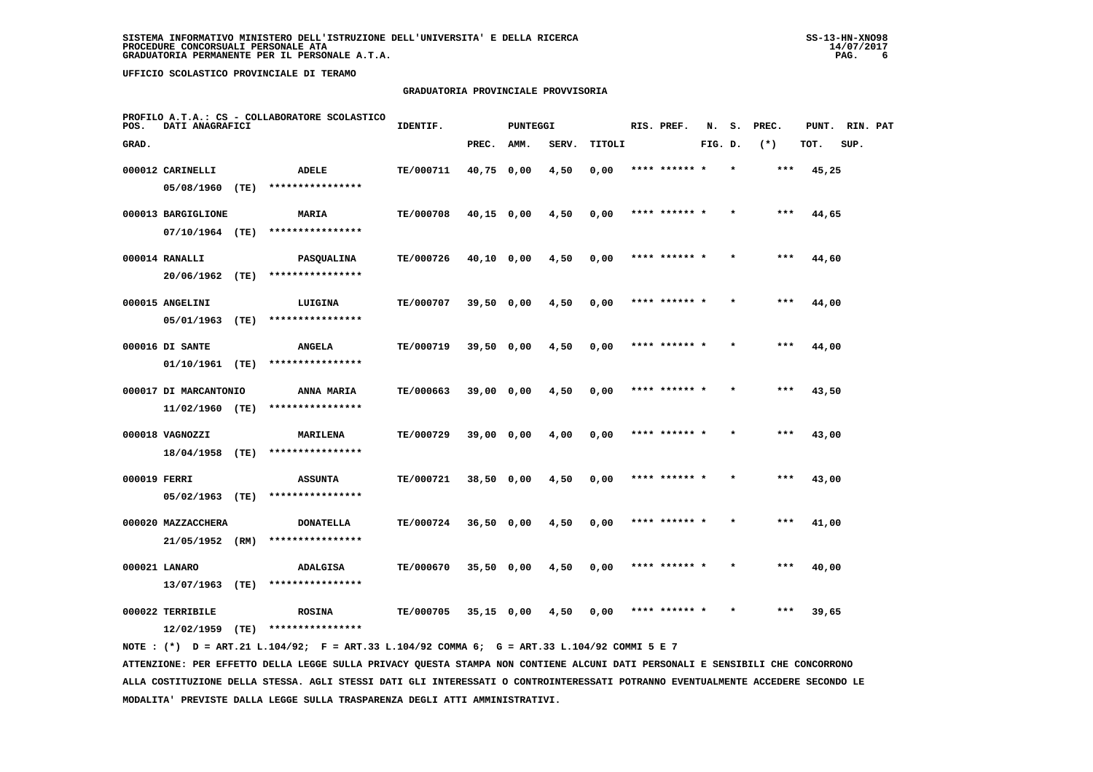# **GRADUATORIA PROVINCIALE PROVVISORIA**

| POS.         | DATI ANAGRAFICI       |      | PROFILO A.T.A.: CS - COLLABORATORE SCOLASTICO | IDENTIF.  |              | PUNTEGGI |       |        | RIS. PREF.    | N.      | s.      | PREC. | PUNT. | RIN. PAT |  |
|--------------|-----------------------|------|-----------------------------------------------|-----------|--------------|----------|-------|--------|---------------|---------|---------|-------|-------|----------|--|
| GRAD.        |                       |      |                                               |           | PREC.        | AMM.     | SERV. | TITOLI |               | FIG. D. |         | $(*)$ | TOT.  | SUP.     |  |
|              | 000012 CARINELLI      |      | <b>ADELE</b>                                  | TE/000711 | 40,75 0,00   |          | 4,50  | 0,00   | **** ******   |         |         | ***   | 45,25 |          |  |
|              | 05/08/1960            | (TE) | ****************                              |           |              |          |       |        |               |         |         |       |       |          |  |
|              | 000013 BARGIGLIONE    |      | MARIA                                         | TE/000708 | $40,15$ 0,00 |          | 4,50  | 0,00   | **** ******   |         |         | ***   | 44,65 |          |  |
|              | 07/10/1964 (TE)       |      | ****************                              |           |              |          |       |        |               |         |         |       |       |          |  |
|              | 000014 RANALLI        |      | <b>PASQUALINA</b>                             | TE/000726 | 40,10 0,00   |          | 4,50  | 0,00   | **** ****** * |         | $\star$ | ***   | 44,60 |          |  |
|              | 20/06/1962            | (TE) | ****************                              |           |              |          |       |        |               |         |         |       |       |          |  |
|              | 000015 ANGELINI       |      | LUIGINA                                       | TE/000707 | 39,50 0,00   |          | 4,50  | 0,00   | **** ****** * |         |         | $***$ | 44,00 |          |  |
|              | 05/01/1963            | (TE) | ****************                              |           |              |          |       |        |               |         |         |       |       |          |  |
|              | 000016 DI SANTE       |      | <b>ANGELA</b>                                 | TE/000719 | 39,50 0,00   |          | 4,50  | 0,00   | **** ****** * |         |         | $***$ | 44,00 |          |  |
|              | 01/10/1961            | (TE) | ****************                              |           |              |          |       |        |               |         |         |       |       |          |  |
|              | 000017 DI MARCANTONIO |      | ANNA MARIA                                    | TE/000663 | 39,00 0,00   |          | 4,50  | 0,00   | **** ****** * |         | $\star$ | ***   | 43,50 |          |  |
|              | 11/02/1960 (TE)       |      | ****************                              |           |              |          |       |        |               |         |         |       |       |          |  |
|              | 000018 VAGNOZZI       |      | <b>MARILENA</b>                               | TE/000729 | $39,00$ 0,00 |          | 4,00  | 0,00   |               |         |         | $***$ | 43,00 |          |  |
|              | 18/04/1958 (TE)       |      | ****************                              |           |              |          |       |        |               |         |         |       |       |          |  |
| 000019 FERRI |                       |      | <b>ASSUNTA</b>                                | TE/000721 | $38,50$ 0,00 |          | 4,50  | 0,00   | **** ****** * |         |         | $***$ | 43,00 |          |  |
|              | 05/02/1963            | (TE) | ****************                              |           |              |          |       |        |               |         |         |       |       |          |  |
|              | 000020 MAZZACCHERA    |      | <b>DONATELLA</b>                              | TE/000724 | $36,50$ 0,00 |          | 4,50  | 0,00   | **** ****** * |         | $\star$ | ***   | 41,00 |          |  |
|              | 21/05/1952            | (RM) | ****************                              |           |              |          |       |        |               |         |         |       |       |          |  |
|              | 000021 LANARO         |      | <b>ADALGISA</b>                               | TE/000670 | 35,50 0,00   |          | 4,50  | 0,00   |               |         |         | $***$ | 40,00 |          |  |
|              | 13/07/1963            | (TE) | ****************                              |           |              |          |       |        |               |         |         |       |       |          |  |
|              | 000022 TERRIBILE      |      | <b>ROSINA</b><br>****************             | TE/000705 | $35,15$ 0,00 |          | 4,50  | 0,00   | **** ****** * |         |         | ***   | 39,65 |          |  |
|              | 12/02/1959            | (TE) |                                               |           |              |          |       |        |               |         |         |       |       |          |  |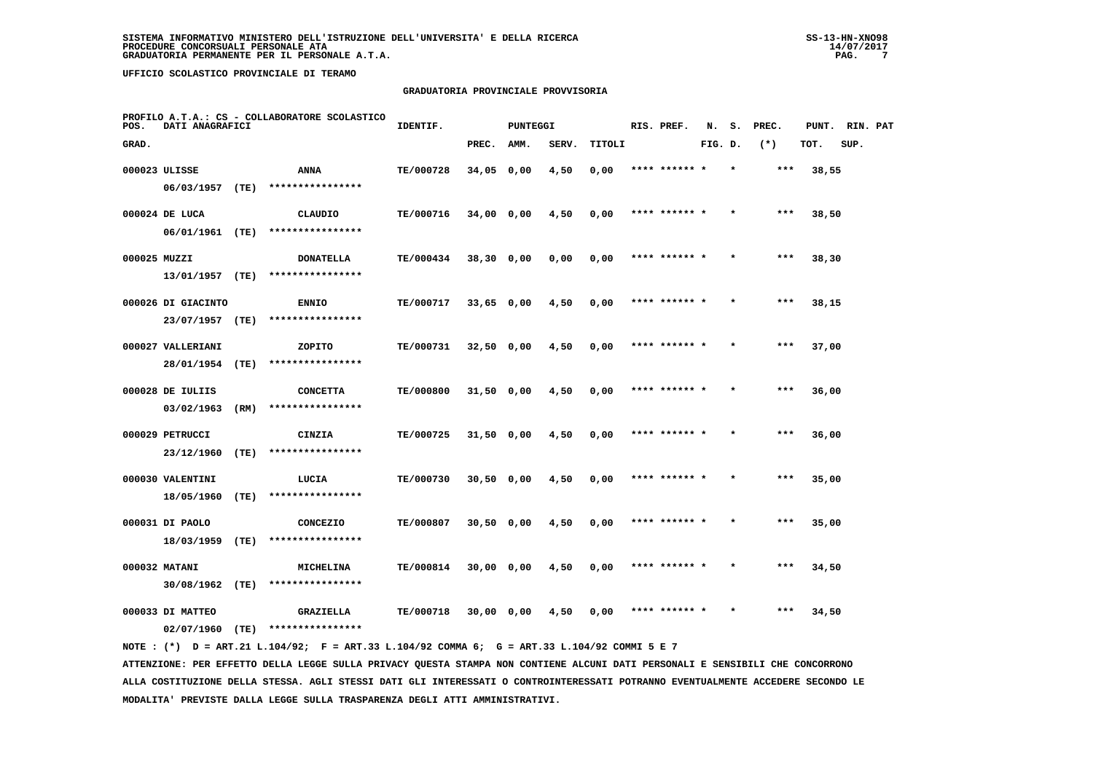# **GRADUATORIA PROVINCIALE PROVVISORIA**

| POS.         | DATI ANAGRAFICI               |      | PROFILO A.T.A.: CS - COLLABORATORE SCOLASTICO | IDENTIF.         |              | <b>PUNTEGGI</b> |       |        | RIS. PREF.    | N.      | s. | PREC. | PUNT. | RIN. PAT |  |
|--------------|-------------------------------|------|-----------------------------------------------|------------------|--------------|-----------------|-------|--------|---------------|---------|----|-------|-------|----------|--|
| GRAD.        |                               |      |                                               |                  | PREC.        | AMM.            | SERV. | TITOLI |               | FIG. D. |    | $(*)$ | TOT.  | SUP.     |  |
|              | 000023 ULISSE                 |      | ANNA                                          | TE/000728        | 34,05 0,00   |                 | 4,50  | 0,00   | **** ****** * |         |    | ***   | 38,55 |          |  |
|              | 06/03/1957 (TE)               |      | ****************                              |                  |              |                 |       |        |               |         |    |       |       |          |  |
|              | 000024 DE LUCA                |      | CLAUDIO                                       | TE/000716        | $34,00$ 0,00 |                 | 4,50  | 0,00   | **** ****** * |         |    | ***   | 38,50 |          |  |
|              | 06/01/1961 (TE)               |      | ****************                              |                  |              |                 |       |        |               |         |    |       |       |          |  |
| 000025 MUZZI |                               |      | <b>DONATELLA</b>                              | TE/000434        | 38,30 0,00   |                 | 0,00  | 0,00   | **** ****** * |         |    | $***$ | 38,30 |          |  |
|              | 13/01/1957 (TE)               |      | ****************                              |                  |              |                 |       |        |               |         |    |       |       |          |  |
|              | 000026 DI GIACINTO            |      | <b>ENNIO</b>                                  | TE/000717        | $33,65$ 0,00 |                 | 4,50  | 0,00   | **** ****** * |         |    | ***   | 38,15 |          |  |
|              | 23/07/1957                    | (TE) | ****************                              |                  |              |                 |       |        |               |         |    |       |       |          |  |
|              | 000027 VALLERIANI             |      | ZOPITO                                        | TE/000731        | $32,50$ 0,00 |                 | 4,50  | 0,00   | **** ****** * |         |    | $***$ | 37,00 |          |  |
|              | 28/01/1954 (TE)               |      | ****************                              |                  |              |                 |       |        |               |         |    |       |       |          |  |
|              | 000028 DE IULIIS              |      | <b>CONCETTA</b>                               | <b>TE/000800</b> | 31,50 0,00   |                 | 4,50  | 0,00   | **** ****** * |         |    | $***$ | 36,00 |          |  |
|              | 03/02/1963                    | (RM) | ****************                              |                  |              |                 |       |        |               |         |    |       |       |          |  |
|              | 000029 PETRUCCI               |      | CINZIA                                        | TE/000725        | $31,50$ 0,00 |                 | 4,50  | 0,00   | **** ****** * |         |    | ***   | 36,00 |          |  |
|              | 23/12/1960                    | (TE) | ****************                              |                  |              |                 |       |        |               |         |    |       |       |          |  |
|              | 000030 VALENTINI              |      | LUCIA<br>****************                     | TE/000730        | 30,50 0,00   |                 | 4,50  | 0,00   | **** ******   |         |    | ***   | 35,00 |          |  |
|              | 18/05/1960                    | (TE) |                                               |                  |              |                 |       |        |               |         |    |       |       |          |  |
|              | 000031 DI PAOLO<br>18/03/1959 | (TE) | CONCEZIO<br>****************                  | TE/000807        | $30,50$ 0,00 |                 | 4,50  | 0,00   | **** ****** * |         |    | $***$ | 35,00 |          |  |
|              |                               |      |                                               |                  |              |                 |       |        |               |         |    |       |       |          |  |
|              | 000032 MATANI                 |      | <b>MICHELINA</b><br>****************          | <b>TE/000814</b> | 30,00 0,00   |                 | 4,50  | 0,00   | **** ****** * |         |    | ***   | 34,50 |          |  |
|              | 30/08/1962                    | (TE) |                                               |                  |              |                 |       |        |               |         |    |       |       |          |  |
|              | 000033 DI MATTEO              |      | <b>GRAZIELLA</b>                              | TE/000718        | 30,00 0,00   |                 | 4,50  | 0,00   | **** ******   |         |    | ***   | 34,50 |          |  |
|              | 02/07/1960                    | (TE) | ****************                              |                  |              |                 |       |        |               |         |    |       |       |          |  |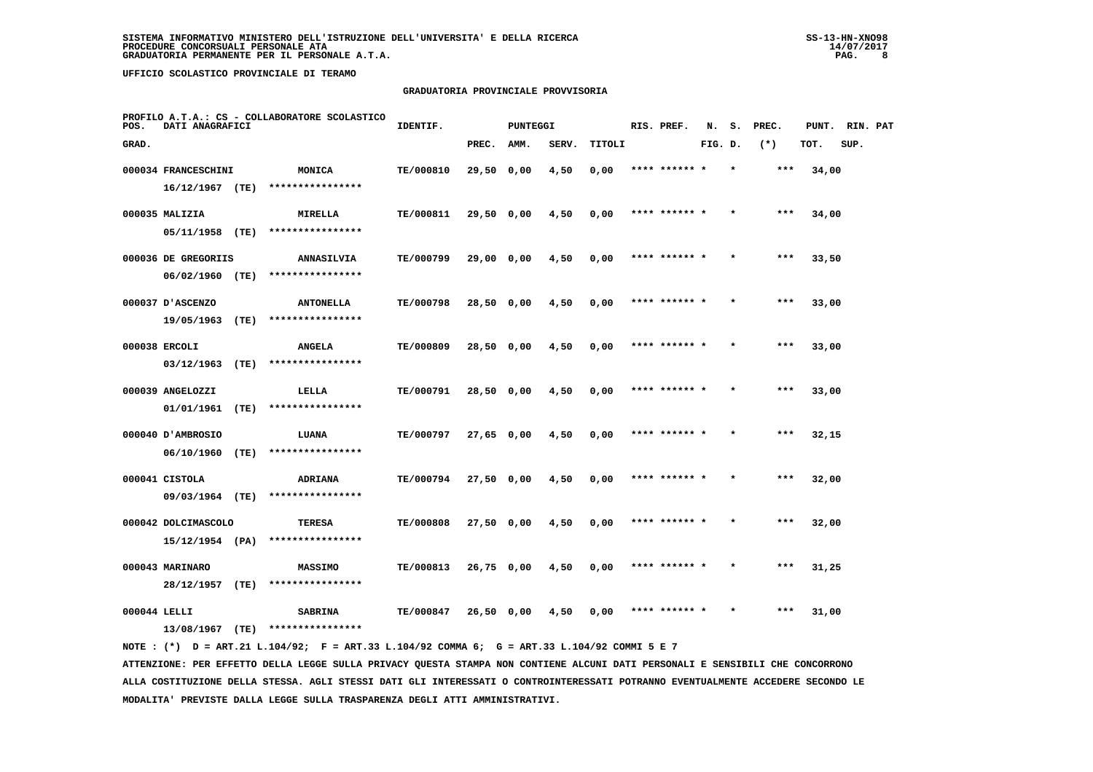# **GRADUATORIA PROVINCIALE PROVVISORIA**

| POS.         | DATI ANAGRAFICI                          |      | PROFILO A.T.A.: CS - COLLABORATORE SCOLASTICO | IDENTIF.  |              | PUNTEGGI |       |        | RIS. PREF.    | N.      | s.      | PREC. | PUNT. | RIN. PAT |  |
|--------------|------------------------------------------|------|-----------------------------------------------|-----------|--------------|----------|-------|--------|---------------|---------|---------|-------|-------|----------|--|
| GRAD.        |                                          |      |                                               |           | PREC.        | AMM.     | SERV. | TITOLI |               | FIG. D. |         | $(*)$ | TOT.  | SUP.     |  |
|              | 000034 FRANCESCHINI<br>$16/12/1967$ (TE) |      | MONICA<br>****************                    | TE/000810 | 29,50 0,00   |          | 4,50  | 0,00   | **** ******   |         |         | ***   | 34,00 |          |  |
|              | 000035 MALIZIA                           |      | MIRELLA<br>****************                   | TE/000811 | 29,50 0,00   |          | 4,50  | 0,00   | **** ****** * |         |         | $***$ | 34,00 |          |  |
|              | 05/11/1958 (TE)<br>000036 DE GREGORIIS   |      | <b>ANNASILVIA</b>                             | TE/000799 | 29,00 0,00   |          | 4,50  | 0,00   | **** ****** * |         | $\star$ | $***$ | 33,50 |          |  |
|              | 06/02/1960 (TE)<br>000037 D'ASCENZO      |      | ****************<br><b>ANTONELLA</b>          | TE/000798 | 28,50 0,00   |          | 4,50  | 0,00   | **** ****** * |         |         | $***$ | 33,00 |          |  |
|              | 19/05/1963<br>000038 ERCOLI              | (TE) | ****************<br><b>ANGELA</b>             | TE/000809 | 28,50 0,00   |          | 4,50  | 0,00   | **** ****** * |         |         | $***$ | 33,00 |          |  |
|              | 03/12/1963                               | (TE) | ****************                              |           |              |          |       |        |               |         |         |       |       |          |  |
|              | 000039 ANGELOZZI<br>01/01/1961           | (TE) | LELLA<br>****************                     | TE/000791 | 28,50 0,00   |          | 4,50  | 0,00   | **** ****** * |         |         | $***$ | 33,00 |          |  |
|              | 000040 D'AMBROSIO<br>06/10/1960          | (TE) | LUANA<br>****************                     | TE/000797 | 27,65 0,00   |          | 4,50  | 0,00   | **** ******   |         |         | ***   | 32,15 |          |  |
|              | 000041 CISTOLA<br>09/03/1964 (TE)        |      | <b>ADRIANA</b><br>****************            | TE/000794 | 27,50 0,00   |          | 4,50  | 0,00   | **** ****** * |         |         | ***   | 32,00 |          |  |
|              | 000042 DOLCIMASCOLO<br>15/12/1954 (PA)   |      | <b>TERESA</b><br>****************             | TE/000808 | 27,50 0,00   |          | 4,50  | 0,00   | **** ****** * |         |         | $***$ | 32,00 |          |  |
|              | 000043 MARINARO<br>28/12/1957            | (TE) | <b>MASSIMO</b><br>****************            | TE/000813 | $26,75$ 0,00 |          | 4,50  | 0,00   | **** ****** * |         |         | ***   | 31,25 |          |  |
| 000044 LELLI | 13/08/1967                               | (TE) | <b>SABRINA</b><br>****************            | TE/000847 | 26,50 0,00   |          | 4,50  | 0,00   | **** ****** * |         |         | ***   | 31,00 |          |  |
|              |                                          |      |                                               |           |              |          |       |        |               |         |         |       |       |          |  |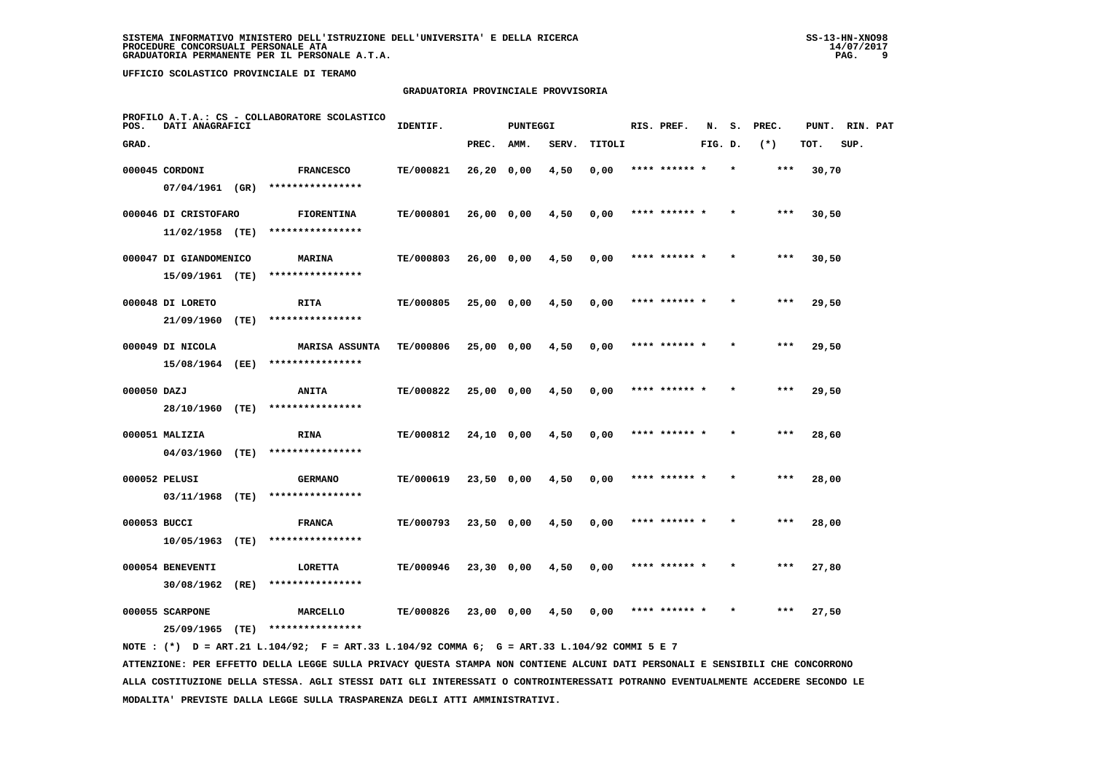# **GRADUATORIA PROVINCIALE PROVVISORIA**

| POS.         | DATI ANAGRAFICI        |      | PROFILO A.T.A.: CS - COLLABORATORE SCOLASTICO | IDENTIF.  |              | <b>PUNTEGGI</b> |       |        | RIS. PREF.    | N.      | s. | PREC. | PUNT. | RIN. PAT |  |
|--------------|------------------------|------|-----------------------------------------------|-----------|--------------|-----------------|-------|--------|---------------|---------|----|-------|-------|----------|--|
| GRAD.        |                        |      |                                               |           | PREC.        | AMM.            | SERV. | TITOLI |               | FIG. D. |    | $(*)$ | TOT.  | SUP.     |  |
|              | 000045 CORDONI         |      | <b>FRANCESCO</b>                              | TE/000821 | $26,20$ 0,00 |                 | 4,50  | 0,00   | **** ****** * |         |    | ***   | 30,70 |          |  |
|              | 07/04/1961 (GR)        |      | ****************                              |           |              |                 |       |        |               |         |    |       |       |          |  |
|              | 000046 DI CRISTOFARO   |      | <b>FIORENTINA</b>                             | TE/000801 | 26,00 0,00   |                 | 4,50  | 0,00   | **** ****** * |         |    | ***   | 30,50 |          |  |
|              | $11/02/1958$ (TE)      |      | ****************                              |           |              |                 |       |        |               |         |    |       |       |          |  |
|              | 000047 DI GIANDOMENICO |      | <b>MARINA</b>                                 | TE/000803 | 26,000,00    |                 | 4,50  | 0,00   | **** ****** * |         |    | $***$ | 30,50 |          |  |
|              | 15/09/1961 (TE)        |      | ****************                              |           |              |                 |       |        |               |         |    |       |       |          |  |
|              | 000048 DI LORETO       |      | <b>RITA</b>                                   | TE/000805 | 25,00 0,00   |                 | 4,50  | 0,00   | **** ****** * |         |    | $***$ | 29,50 |          |  |
|              | 21/09/1960             | (TE) | ****************                              |           |              |                 |       |        |               |         |    |       |       |          |  |
|              | 000049 DI NICOLA       |      | MARISA ASSUNTA                                | TE/000806 | $25,00$ 0,00 |                 | 4,50  | 0,00   | **** ****** * |         |    | $***$ | 29,50 |          |  |
|              | 15/08/1964             | (EE) | ****************                              |           |              |                 |       |        |               |         |    |       |       |          |  |
| 000050 DAZJ  |                        |      | <b>ANITA</b>                                  | TE/000822 | 25,00 0,00   |                 | 4,50  | 0,00   | **** ****** * |         |    | ***   | 29,50 |          |  |
|              | 28/10/1960 (TE)        |      | ****************                              |           |              |                 |       |        |               |         |    |       |       |          |  |
|              | 000051 MALIZIA         |      | RINA                                          | TE/000812 | 24,10 0,00   |                 | 4,50  | 0,00   | **** ****** * |         |    | $***$ | 28,60 |          |  |
|              | 04/03/1960 (TE)        |      | ****************                              |           |              |                 |       |        |               |         |    |       |       |          |  |
|              | 000052 PELUSI          |      | <b>GERMANO</b>                                | TE/000619 | 23,50 0,00   |                 | 4,50  | 0,00   | **** ****** * |         |    | ***   | 28,00 |          |  |
|              | 03/11/1968 (TE)        |      | ****************                              |           |              |                 |       |        |               |         |    |       |       |          |  |
| 000053 BUCCI |                        |      | <b>FRANCA</b>                                 | TE/000793 | $23,50$ 0,00 |                 | 4,50  | 0,00   | **** ****** * |         |    | $***$ | 28,00 |          |  |
|              | 10/05/1963             | (TE) | ****************                              |           |              |                 |       |        |               |         |    |       |       |          |  |
|              | 000054 BENEVENTI       |      | <b>LORETTA</b><br>****************            | TE/000946 | $23,30$ 0,00 |                 | 4,50  | 0,00   | **** ****** * |         |    | ***   | 27,80 |          |  |
|              | 30/08/1962             | (RE) |                                               |           |              |                 |       |        |               |         |    |       |       |          |  |
|              | 000055 SCARPONE        |      | MARCELLO<br>****************                  | TE/000826 | 23,00 0,00   |                 | 4,50  | 0,00   | **** ****** * |         |    | ***   | 27,50 |          |  |
|              | 25/09/1965             | (TE) |                                               |           |              |                 |       |        |               |         |    |       |       |          |  |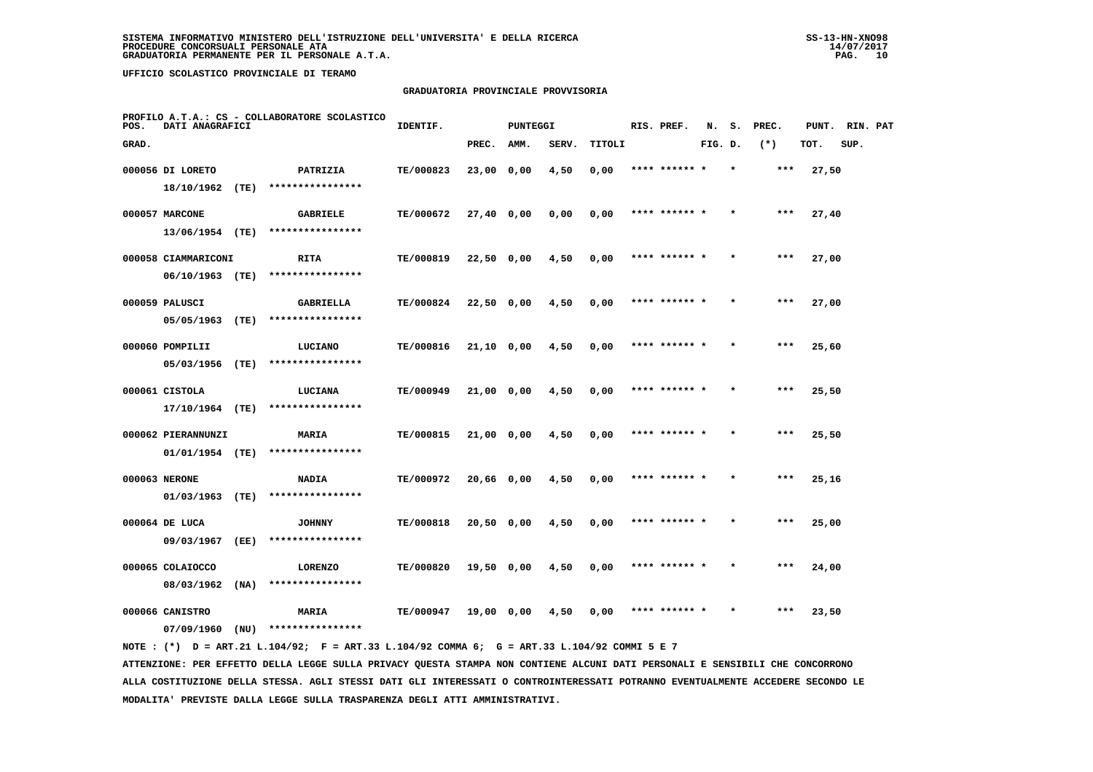# **GRADUATORIA PROVINCIALE PROVVISORIA**

| POS.  | DATI ANAGRAFICI                |      | PROFILO A.T.A.: CS - COLLABORATORE SCOLASTICO | IDENTIF.  |              | PUNTEGGI |       |        | RIS. PREF.    | N.      | s. | PREC. | PUNT. | RIN. PAT |  |
|-------|--------------------------------|------|-----------------------------------------------|-----------|--------------|----------|-------|--------|---------------|---------|----|-------|-------|----------|--|
| GRAD. |                                |      |                                               |           | PREC.        | AMM.     | SERV. | TITOLI |               | FIG. D. |    | $(*)$ | TOT.  | SUP.     |  |
|       | 000056 DI LORETO               |      | PATRIZIA                                      | TE/000823 | 23,00 0,00   |          | 4,50  | 0,00   | **** ******   |         |    | ***   | 27,50 |          |  |
|       | 18/10/1962                     | (TE) | ****************                              |           |              |          |       |        |               |         |    |       |       |          |  |
|       | 000057 MARCONE                 |      | <b>GABRIELE</b>                               | TE/000672 | 27,40 0,00   |          | 0,00  | 0,00   | **** ****** * |         |    | $***$ | 27,40 |          |  |
|       | 13/06/1954 (TE)                |      | ****************                              |           |              |          |       |        |               |         |    |       |       |          |  |
|       | 000058 CIAMMARICONI            |      | <b>RITA</b>                                   | TE/000819 | 22,50 0,00   |          | 4,50  | 0,00   | **** ******   |         |    | $***$ | 27,00 |          |  |
|       | 06/10/1963 (TE)                |      | ****************                              |           |              |          |       |        |               |         |    |       |       |          |  |
|       | 000059 PALUSCI                 |      | GABRIELLA                                     | TE/000824 | 22,50 0,00   |          | 4,50  | 0,00   | **** ****** * |         |    | $***$ | 27,00 |          |  |
|       | 05/05/1963                     | (TE) | ****************                              |           |              |          |       |        |               |         |    |       |       |          |  |
|       | 000060 POMPILII                |      | LUCIANO                                       | TE/000816 | $21,10$ 0,00 |          | 4,50  | 0,00   | **** ****** * |         |    | $***$ | 25,60 |          |  |
|       | 05/03/1956                     | (TE) | ****************                              |           |              |          |       |        |               |         |    |       |       |          |  |
|       | 000061 CISTOLA                 |      | LUCIANA                                       | TE/000949 | 21,00 0,00   |          | 4,50  | 0,00   | **** ****** * |         |    | $***$ | 25,50 |          |  |
|       | $17/10/1964$ (TE)              |      | ****************                              |           |              |          |       |        |               |         |    |       |       |          |  |
|       | 000062 PIERANNUNZI             |      | MARIA                                         | TE/000815 | 21,00 0,00   |          | 4,50  | 0,00   |               |         |    | ***   | 25,50 |          |  |
|       | 01/01/1954 (TE)                |      | ****************                              |           |              |          |       |        |               |         |    |       |       |          |  |
|       | 000063 NERONE                  |      | <b>NADIA</b><br>****************              | TE/000972 | 20,66 0,00   |          | 4,50  | 0,00   | **** ******   |         |    | $***$ | 25,16 |          |  |
|       | 01/03/1963                     | (TE) |                                               |           |              |          |       |        |               |         |    |       |       |          |  |
|       | 000064 DE LUCA                 |      | <b>JOHNNY</b><br>****************             | TE/000818 | $20,50$ 0,00 |          | 4,50  | 0,00   | **** ****** * |         |    | ***   | 25,00 |          |  |
|       | 09/03/1967                     | (EE) |                                               |           |              |          |       |        |               |         |    |       |       |          |  |
|       | 000065 COLAIOCCO<br>08/03/1962 | (NA) | <b>LORENZO</b><br>****************            | TE/000820 | 19,50 0,00   |          | 4,50  | 0,00   | **** ****** * |         |    | ***   | 24,00 |          |  |
|       |                                |      |                                               |           |              |          |       |        |               |         |    |       |       |          |  |
|       | 000066 CANISTRO                |      | MARIA<br>****************                     | TE/000947 | 19,00 0,00   |          | 4,50  | 0,00   |               |         |    | ***   | 23,50 |          |  |
|       | 07/09/1960                     | (NU) |                                               |           |              |          |       |        |               |         |    |       |       |          |  |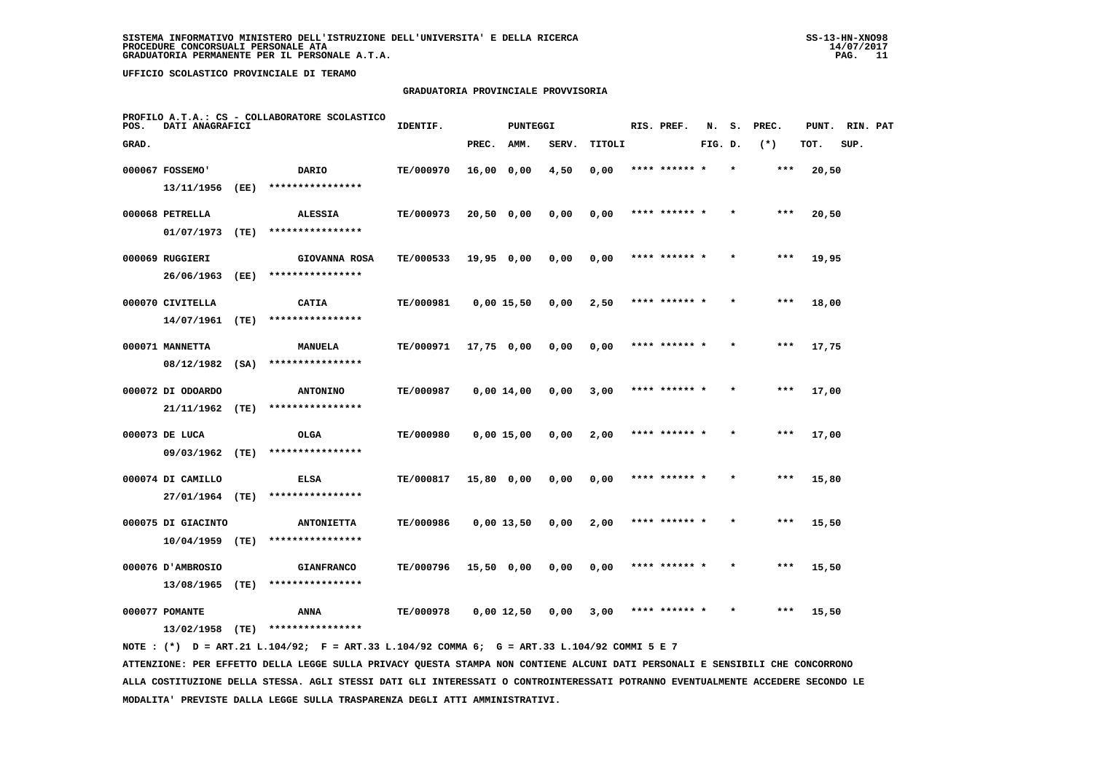# **GRADUATORIA PROVINCIALE PROVVISORIA**

| POS.  | DATI ANAGRAFICI    |      | PROFILO A.T.A.: CS - COLLABORATORE SCOLASTICO | IDENTIF.  |              | PUNTEGGI |       |        | RIS. PREF.    | N.      | s.      | PREC. | PUNT. | RIN. PAT |  |
|-------|--------------------|------|-----------------------------------------------|-----------|--------------|----------|-------|--------|---------------|---------|---------|-------|-------|----------|--|
| GRAD. |                    |      |                                               |           | PREC.        | AMM.     | SERV. | TITOLI |               | FIG. D. |         | $(*)$ | TOT.  | SUP.     |  |
|       | 000067 FOSSEMO'    |      | DARIO                                         | TE/000970 | 16,00 0,00   |          | 4,50  | 0,00   | **** ******   |         |         | $***$ | 20,50 |          |  |
|       | 13/11/1956         | (EE) | ****************                              |           |              |          |       |        |               |         |         |       |       |          |  |
|       | 000068 PETRELLA    |      | <b>ALESSIA</b>                                | TE/000973 | 20,50 0,00   |          | 0,00  | 0,00   | **** ****** * |         |         | $***$ | 20,50 |          |  |
|       | 01/07/1973         | (TE) | ****************                              |           |              |          |       |        |               |         |         |       |       |          |  |
|       | 000069 RUGGIERI    |      | GIOVANNA ROSA                                 | TE/000533 | 19,95 0,00   |          | 0,00  | 0,00   | **** ****** * |         | $\star$ | ***   | 19,95 |          |  |
|       | 26/06/1963         | (EE) | ****************                              |           |              |          |       |        |               |         |         |       |       |          |  |
|       | 000070 CIVITELLA   |      | <b>CATIA</b>                                  | TE/000981 | $0,00$ 15,50 |          | 0,00  | 2,50   |               |         |         | ***   | 18,00 |          |  |
|       | 14/07/1961         | (TE) | ****************                              |           |              |          |       |        |               |         |         |       |       |          |  |
|       | 000071 MANNETTA    |      | <b>MANUELA</b>                                | TE/000971 | $17,75$ 0,00 |          | 0,00  | 0,00   | **** ****** * |         | $\star$ | $***$ | 17,75 |          |  |
|       | 08/12/1982         | (SA) | ****************                              |           |              |          |       |        |               |         |         |       |       |          |  |
|       | 000072 DI ODOARDO  |      | <b>ANTONINO</b>                               | TE/000987 | $0,00$ 14,00 |          | 0,00  | 3,00   | **** ****** * |         | $\star$ | $***$ | 17,00 |          |  |
|       | 21/11/1962         | (TE) | ****************                              |           |              |          |       |        |               |         |         |       |       |          |  |
|       | 000073 DE LUCA     |      | <b>OLGA</b>                                   | TE/000980 | $0,00$ 15,00 |          | 0,00  | 2,00   |               |         |         | $***$ | 17,00 |          |  |
|       | 09/03/1962         | (TE) | ****************                              |           |              |          |       |        |               |         |         |       |       |          |  |
|       | 000074 DI CAMILLO  |      | <b>ELSA</b>                                   | TE/000817 | 15,80 0,00   |          | 0,00  | 0,00   | **** ****** * |         |         | $***$ | 15,80 |          |  |
|       | 27/01/1964         | (TE) | ****************                              |           |              |          |       |        |               |         |         |       |       |          |  |
|       | 000075 DI GIACINTO |      | <b>ANTONIETTA</b>                             | TE/000986 | $0,00$ 13,50 |          | 0,00  | 2,00   | **** ****** * |         |         | $***$ | 15,50 |          |  |
|       | 10/04/1959         | (TE) | ****************                              |           |              |          |       |        |               |         |         |       |       |          |  |
|       | 000076 D'AMBROSIO  |      | <b>GIANFRANCO</b>                             | TE/000796 | 15,50 0,00   |          | 0,00  | 0,00   | **** ****** * |         |         | $***$ | 15,50 |          |  |
|       | 13/08/1965         | (TE) | ****************                              |           |              |          |       |        |               |         |         |       |       |          |  |
|       | 000077 POMANTE     |      | ANNA                                          | TE/000978 | $0,00$ 12,50 |          | 0.00  | 3,00   |               |         |         | $***$ | 15,50 |          |  |
|       | 13/02/1958         | (TE) | ****************                              |           |              |          |       |        |               |         |         |       |       |          |  |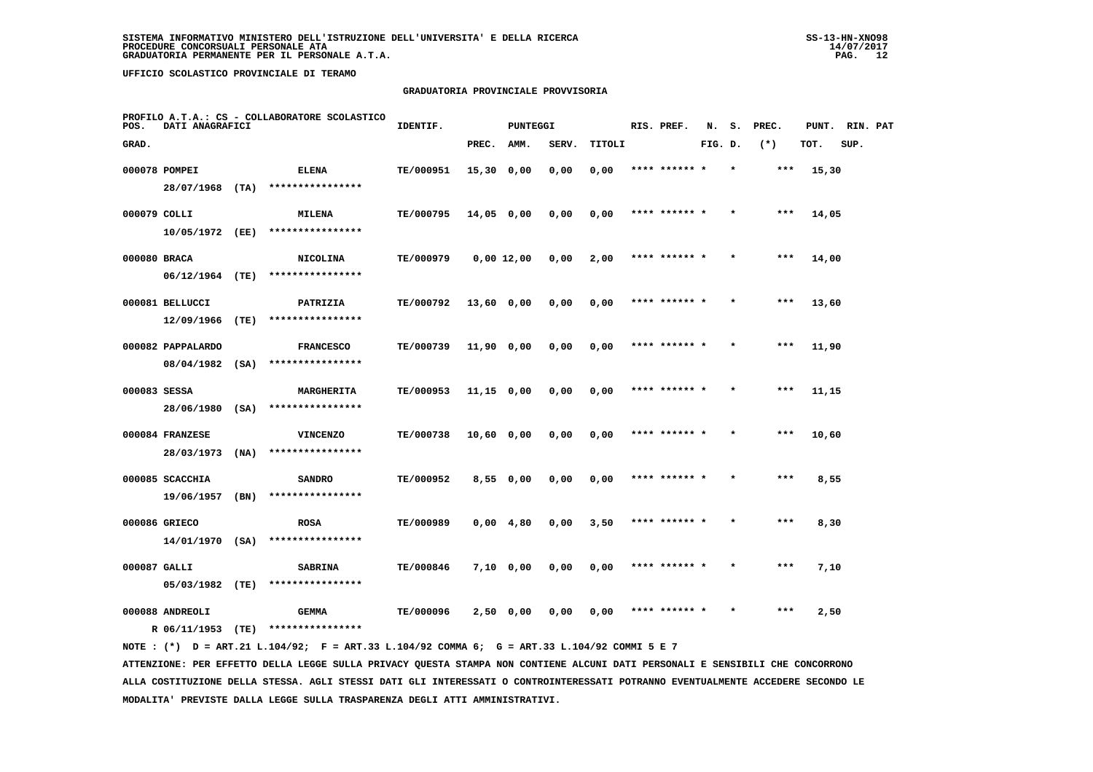# **GRADUATORIA PROVINCIALE PROVVISORIA**

| POS.         | DATI ANAGRAFICI   |      | PROFILO A.T.A.: CS - COLLABORATORE SCOLASTICO | IDENTIF.         |                   | <b>PUNTEGGI</b> |       |        | RIS. PREF.    | N.      | s.      | PREC. | PUNT. | RIN. PAT |  |
|--------------|-------------------|------|-----------------------------------------------|------------------|-------------------|-----------------|-------|--------|---------------|---------|---------|-------|-------|----------|--|
| GRAD.        |                   |      |                                               |                  | PREC.             | AMM.            | SERV. | TITOLI |               | FIG. D. |         | $(*)$ | TOT.  | SUP.     |  |
|              | 000078 POMPEI     |      | <b>ELENA</b>                                  | TE/000951        | $15,30$ 0,00      |                 | 0,00  | 0,00   | **** ****** * |         | $\star$ | $***$ | 15,30 |          |  |
|              | 28/07/1968 (TA)   |      | ****************                              |                  |                   |                 |       |        |               |         |         |       |       |          |  |
| 000079 COLLI |                   |      | <b>MILENA</b>                                 | TE/000795        | 14,05 0,00        |                 | 0,00  | 0,00   | **** ****** * |         |         | ***   | 14,05 |          |  |
|              | 10/05/1972 (EE)   |      | ****************                              |                  |                   |                 |       |        |               |         |         |       |       |          |  |
| 000080 BRACA |                   |      | <b>NICOLINA</b>                               | TE/000979        | $0,00$ 12,00      |                 | 0,00  | 2,00   | **** ****** * |         |         | $***$ | 14,00 |          |  |
|              | $06/12/1964$ (TE) |      | ****************                              |                  |                   |                 |       |        |               |         |         |       |       |          |  |
|              | 000081 BELLUCCI   |      | PATRIZIA                                      | TE/000792        | 13,60 0,00        |                 | 0,00  | 0,00   | **** ****** * |         |         | $***$ | 13,60 |          |  |
|              | 12/09/1966        | (TE) | ****************                              |                  |                   |                 |       |        |               |         |         |       |       |          |  |
|              | 000082 PAPPALARDO |      | <b>FRANCESCO</b>                              | TE/000739        | 11,90 0,00        |                 | 0,00  | 0,00   | **** ****** * |         |         | $***$ | 11,90 |          |  |
|              | $08/04/1982$ (SA) |      | ****************                              |                  |                   |                 |       |        |               |         |         |       |       |          |  |
| 000083 SESSA |                   |      | MARGHERITA                                    | <b>TE/000953</b> | $11,15$ 0,00      |                 | 0,00  | 0,00   | **** ****** * |         | $\star$ | $***$ | 11,15 |          |  |
|              | 28/06/1980 (SA)   |      | ****************                              |                  |                   |                 |       |        |               |         |         |       |       |          |  |
|              | 000084 FRANZESE   |      | <b>VINCENZO</b>                               | TE/000738        | 10,60 0,00        |                 | 0,00  | 0,00   | **** ******   |         |         | ***   | 10,60 |          |  |
|              | 28/03/1973        | (NA) | ****************                              |                  |                   |                 |       |        |               |         |         |       |       |          |  |
|              | 000085 SCACCHIA   |      | <b>SANDRO</b>                                 | TE/000952        | 8,550,00          |                 | 0,00  | 0,00   | **** ****** * |         |         | $***$ | 8,55  |          |  |
|              | 19/06/1957        | (BN) | ****************                              |                  |                   |                 |       |        |               |         |         |       |       |          |  |
|              | 000086 GRIECO     |      | <b>ROSA</b>                                   | TE/000989        | $0,00 \quad 4,80$ |                 | 0,00  | 3,50   | **** ****** * |         | $\star$ | $***$ | 8,30  |          |  |
|              | 14/01/1970 (SA)   |      | ****************                              |                  |                   |                 |       |        |               |         |         |       |       |          |  |
| 000087 GALLI |                   |      | <b>SABRINA</b>                                | <b>TE/000846</b> | 7,10 0,00         |                 | 0,00  | 0,00   | **** ****** * |         |         | $***$ | 7,10  |          |  |
|              | 05/03/1982 (TE)   |      | ****************                              |                  |                   |                 |       |        |               |         |         |       |       |          |  |
|              | 000088 ANDREOLI   |      | <b>GEMMA</b>                                  | TE/000096        | 2,50 0,00         |                 | 0.00  | 0,00   | **** ****** * |         |         | ***   | 2,50  |          |  |
|              | R 06/11/1953      | (TE) | ****************                              |                  |                   |                 |       |        |               |         |         |       |       |          |  |

 **NOTE : (\*) D = ART.21 L.104/92; F = ART.33 L.104/92 COMMA 6; G = ART.33 L.104/92 COMMI 5 E 7**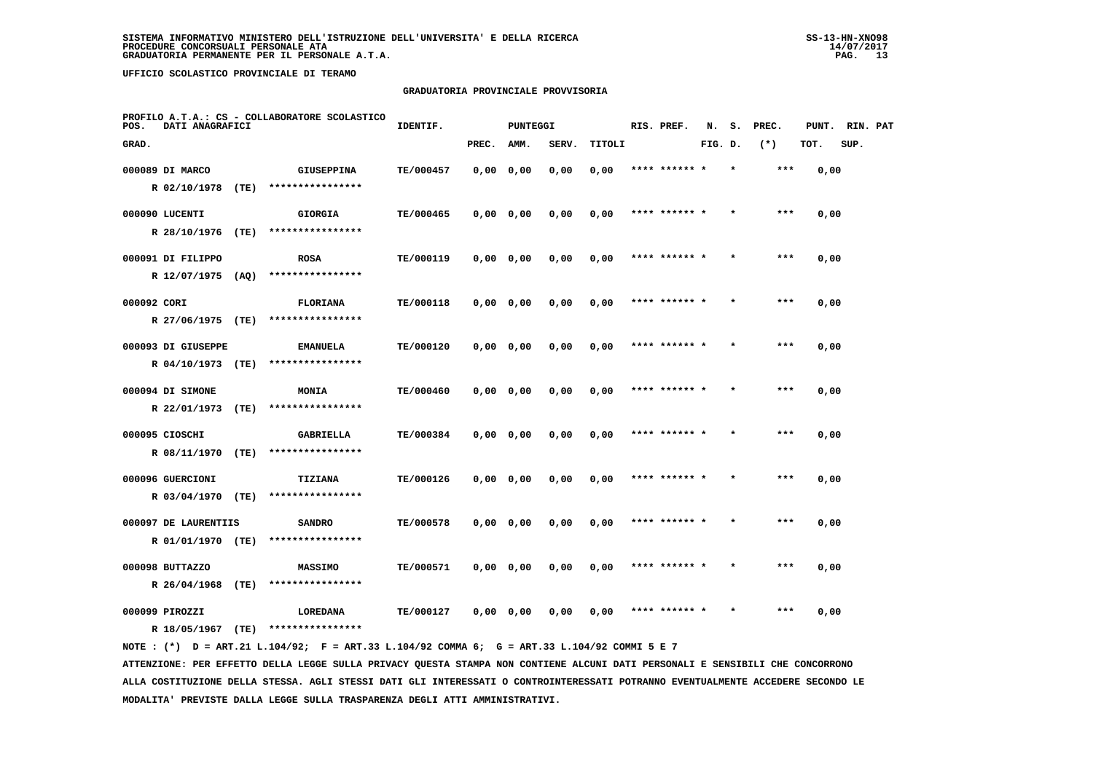# **GRADUATORIA PROVINCIALE PROVVISORIA**

| POS.        | DATI ANAGRAFICI      |      | PROFILO A.T.A.: CS - COLLABORATORE SCOLASTICO | IDENTIF.  |           | PUNTEGGI |       |        | RIS. PREF.    | N.      | s.      | PREC. | PUNT. | RIN. PAT |  |
|-------------|----------------------|------|-----------------------------------------------|-----------|-----------|----------|-------|--------|---------------|---------|---------|-------|-------|----------|--|
| GRAD.       |                      |      |                                               |           | PREC.     | AMM.     | SERV. | TITOLI |               | FIG. D. |         | $(*)$ | TOT.  | SUP.     |  |
|             | 000089 DI MARCO      |      | <b>GIUSEPPINA</b>                             | TE/000457 | 0,0000,00 |          | 0,00  | 0,00   | **** ******   |         |         | ***   | 0,00  |          |  |
|             | R 02/10/1978         | (TE) | ****************                              |           |           |          |       |        |               |         |         |       |       |          |  |
|             | 000090 LUCENTI       |      | <b>GIORGIA</b>                                | TE/000465 | 0,0000,00 |          | 0,00  | 0,00   | **** ******   |         |         | $***$ | 0,00  |          |  |
|             | R 28/10/1976         | (TE) | ****************                              |           |           |          |       |        |               |         |         |       |       |          |  |
|             | 000091 DI FILIPPO    |      | <b>ROSA</b>                                   | TE/000119 | 0,0000,00 |          | 0,00  | 0,00   | **** ****** * |         | $\star$ | $***$ | 0,00  |          |  |
|             | R 12/07/1975         | (AQ) | ****************                              |           |           |          |       |        |               |         |         |       |       |          |  |
| 000092 CORI |                      |      | <b>FLORIANA</b>                               | TE/000118 | 0,0000,00 |          | 0,00  | 0,00   | **** ******   |         |         | $***$ | 0,00  |          |  |
|             | R 27/06/1975 (TE)    |      | ****************                              |           |           |          |       |        |               |         |         |       |       |          |  |
|             | 000093 DI GIUSEPPE   |      | <b>EMANUELA</b>                               | TE/000120 | 0,0000,00 |          | 0,00  | 0,00   | **** ****** * |         |         | $***$ | 0,00  |          |  |
|             | R 04/10/1973 (TE)    |      | ****************                              |           |           |          |       |        |               |         |         |       |       |          |  |
|             | 000094 DI SIMONE     |      | MONIA                                         | TE/000460 | 0,0000,00 |          | 0,00  | 0,00   | **** ****** * |         |         | ***   | 0,00  |          |  |
|             | R 22/01/1973         | (TE) | ****************                              |           |           |          |       |        |               |         |         |       |       |          |  |
|             | 000095 CIOSCHI       |      | <b>GABRIELLA</b>                              | TE/000384 | 0,0000,00 |          | 0,00  | 0,00   |               |         |         | ***   | 0,00  |          |  |
|             | R 08/11/1970         | (TE) | ****************                              |           |           |          |       |        |               |         |         |       |       |          |  |
|             | 000096 GUERCIONI     |      | TIZIANA                                       | TE/000126 | 0,0000,00 |          | 0,00  | 0,00   | **** ****** * |         |         | ***   | 0,00  |          |  |
|             | R 03/04/1970         | (TE) | ****************                              |           |           |          |       |        |               |         |         |       |       |          |  |
|             | 000097 DE LAURENTIIS |      | <b>SANDRO</b>                                 | TE/000578 | 0,0000,00 |          | 0,00  | 0,00   | **** ****** * |         |         | ***   | 0,00  |          |  |
|             | R 01/01/1970         | (TE) | ****************                              |           |           |          |       |        |               |         |         |       |       |          |  |
|             | 000098 BUTTAZZO      |      | <b>MASSIMO</b>                                | TE/000571 | 0,0000,00 |          | 0,00  | 0,00   | **** ****** * |         |         | ***   | 0,00  |          |  |
|             | R 26/04/1968         | (TE) | ****************                              |           |           |          |       |        |               |         |         |       |       |          |  |
|             | 000099 PIROZZI       |      | LOREDANA<br>****************                  | TE/000127 | 0,0000,00 |          | 0,00  | 0,00   |               |         |         | ***   | 0,00  |          |  |
|             | R 18/05/1967         | (TE) |                                               |           |           |          |       |        |               |         |         |       |       |          |  |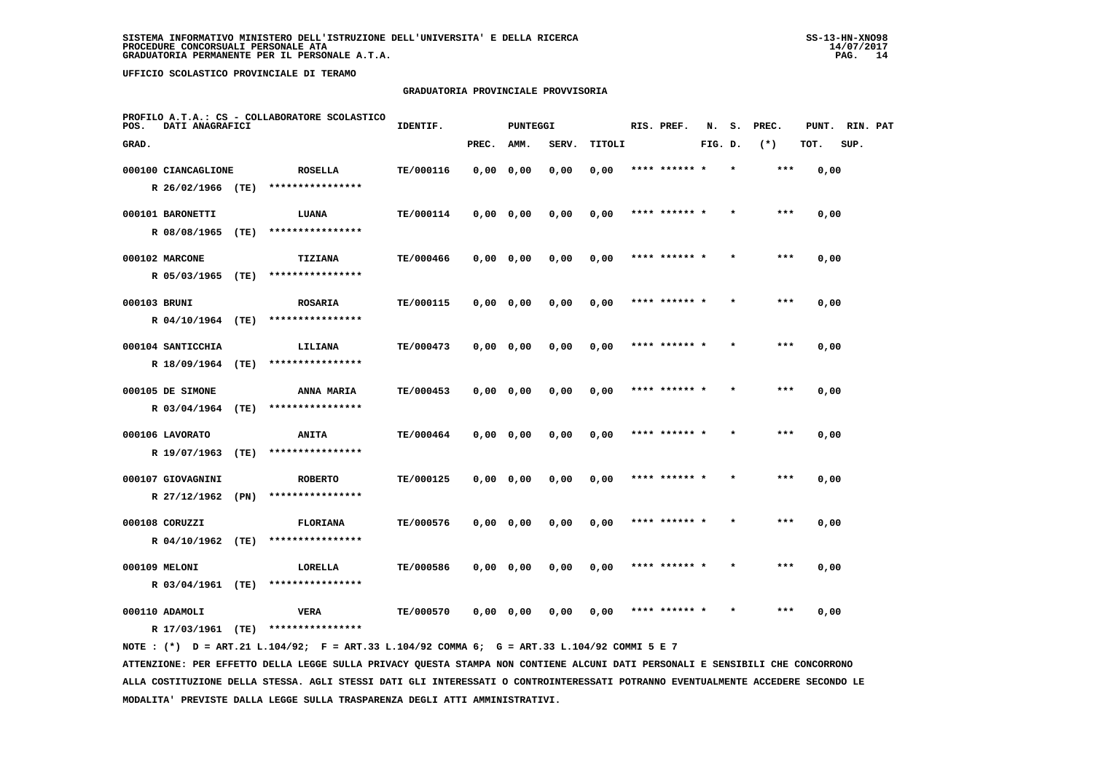# **GRADUATORIA PROVINCIALE PROVVISORIA**

| PROFILO A.T.A.: CS - COLLABORATORE SCOLASTICO<br>DATI ANAGRAFICI<br>POS. |                                          |      |                                     | IDENTIF.<br>PUNTEGGI |           |           |       |        |      | RIS. PREF.    | N.      | s.      | PREC.   | PUNT. | RIN. PAT |  |
|--------------------------------------------------------------------------|------------------------------------------|------|-------------------------------------|----------------------|-----------|-----------|-------|--------|------|---------------|---------|---------|---------|-------|----------|--|
| GRAD.                                                                    |                                          |      |                                     |                      | PREC.     | AMM.      | SERV. | TITOLI |      |               | FIG. D. |         | $(*)$   | TOT.  | SUP.     |  |
|                                                                          | 000100 CIANCAGLIONE<br>R 26/02/1966 (TE) |      | <b>ROSELLA</b><br>****************  | TE/000116            | 0,0000,00 |           | 0,00  | 0,00   |      |               |         |         | ***     | 0,00  |          |  |
|                                                                          | 000101 BARONETTI<br>R 08/08/1965         | (TE) | LUANA<br>****************           | TE/000114            | 0,0000,00 |           | 0,00  | 0,00   |      | **** ****** * |         |         | $***$   | 0,00  |          |  |
|                                                                          | 000102 MARCONE<br>R 05/03/1965           | (TE) | <b>TIZIANA</b><br>****************  | TE/000466            |           | 0,0000,00 | 0,00  | 0,00   |      | **** ****** * |         | $\star$ | $***$   | 0,00  |          |  |
|                                                                          | 000103 BRUNI<br>R 04/10/1964 (TE)        |      | <b>ROSARIA</b><br>****************  | TE/000115            | 0,0000,00 |           | 0,00  | 0,00   |      | **** ******   |         |         | $***$   | 0,00  |          |  |
|                                                                          | 000104 SANTICCHIA<br>R 18/09/1964 (TE)   |      | LILIANA<br>****************         | TE/000473            | 0,0000,00 |           | 0,00  | 0,00   |      | **** ****** * |         |         | $* * *$ | 0,00  |          |  |
|                                                                          | 000105 DE SIMONE<br>R 03/04/1964         | (TE) | ANNA MARIA<br>****************      | TE/000453            | 0,0000,00 |           | 0,00  | 0,00   |      | **** ****** * |         |         | ***     | 0,00  |          |  |
|                                                                          | 000106 LAVORATO<br>R 19/07/1963          | (TE) | <b>ANITA</b><br>****************    | TE/000464            | 0,0000,00 |           | 0,00  | 0,00   | **** |               |         |         | $***$   | 0,00  |          |  |
|                                                                          | 000107 GIOVAGNINI<br>R 27/12/1962 (PN)   |      | <b>ROBERTO</b><br>****************  | TE/000125            | 0,0000,00 |           | 0,00  | 0,00   |      | **** ****** * |         |         | ***     | 0,00  |          |  |
|                                                                          | 000108 CORUZZI<br>R 04/10/1962 (TE)      |      | <b>FLORIANA</b><br>**************** | TE/000576            |           | 0,0000,00 | 0,00  | 0,00   |      | **** ****** * |         |         | $***$   | 0,00  |          |  |
|                                                                          | 000109 MELONI<br>R 03/04/1961 (TE)       |      | LORELLA<br>****************         | TE/000586            | 0,0000,00 |           | 0,00  | 0,00   |      | **** ****** * |         |         | ***     | 0,00  |          |  |
|                                                                          | 000110 ADAMOLI<br>R 17/03/1961           | (TE) | VERA<br>****************            | TE/000570            | 0,0000,00 |           | 0,00  | 0,00   |      |               |         |         |         | 0,00  |          |  |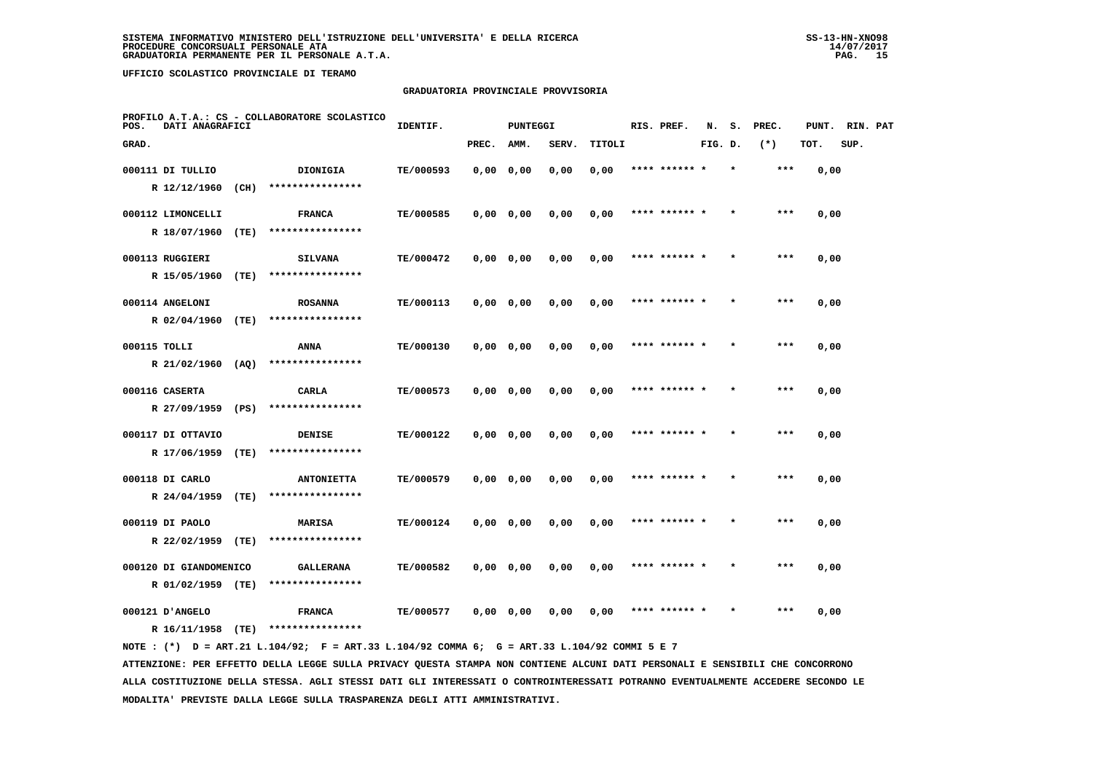# **GRADUATORIA PROVINCIALE PROVVISORIA**

| PROFILO A.T.A.: CS - COLLABORATORE SCOLASTICO<br>DATI ANAGRAFICI<br>POS. | IDENTIF.<br>PUNTEGGI |           |           |           |       | RIS. PREF. | N.            | s.      | PREC.   | PUNT. | RIN. PAT |      |  |
|--------------------------------------------------------------------------|----------------------|-----------|-----------|-----------|-------|------------|---------------|---------|---------|-------|----------|------|--|
| GRAD.                                                                    |                      |           | PREC.     | AMM.      | SERV. | TITOLI     |               | FIG. D. |         | $(*)$ | TOT.     | SUP. |  |
| 000111 DI TULLIO                                                         | DIONIGIA             | TE/000593 |           | 0,0000,00 | 0,00  | 0,00       |               |         |         | ***   | 0,00     |      |  |
| R 12/12/1960<br>(CH)                                                     | ****************     |           |           |           |       |            |               |         |         |       |          |      |  |
| 000112 LIMONCELLI                                                        | <b>FRANCA</b>        | TE/000585 |           | 0,0000,00 | 0,00  | 0,00       | **** ****** * |         |         | $***$ | 0,00     |      |  |
| R 18/07/1960<br>(TE)                                                     | ****************     |           |           |           |       |            |               |         |         |       |          |      |  |
| 000113 RUGGIERI                                                          | <b>SILVANA</b>       | TE/000472 |           | 0,0000,00 | 0,00  | 0,00       | **** ****** * |         | $\star$ | $***$ | 0,00     |      |  |
| (TE)<br>R 15/05/1960                                                     | ****************     |           |           |           |       |            |               |         |         |       |          |      |  |
| 000114 ANGELONI                                                          | <b>ROSANNA</b>       | TE/000113 |           | 0,0000,00 | 0,00  | 0,00       | **** ****** * |         |         | ***   | 0,00     |      |  |
| R 02/04/1960<br>(TE)                                                     | ****************     |           |           |           |       |            |               |         |         |       |          |      |  |
| 000115 TOLLI                                                             | ANNA                 | TE/000130 | 0,0000,00 |           | 0,00  | 0,00       | **** ****** * |         |         | ***   | 0,00     |      |  |
| R 21/02/1960 (AQ)                                                        | ****************     |           |           |           |       |            |               |         |         |       |          |      |  |
| 000116 CASERTA                                                           | CARLA                | TE/000573 |           | 0,0000,00 | 0,00  | 0,00       |               |         |         | $***$ | 0,00     |      |  |
| (PS)<br>R 27/09/1959                                                     | ****************     |           |           |           |       |            |               |         |         |       |          |      |  |
| 000117 DI OTTAVIO                                                        | DENISE               | TE/000122 |           | 0,0000,00 | 0,00  | 0,00       | **** ******   |         |         | ***   | 0,00     |      |  |
| R 17/06/1959<br>(TE)                                                     | ****************     |           |           |           |       |            |               |         |         |       |          |      |  |
| 000118 DI CARLO                                                          | <b>ANTONIETTA</b>    | TE/000579 |           | 0,0000,00 | 0,00  | 0,00       | **** ******   |         |         | $***$ | 0,00     |      |  |
| (TE)<br>R 24/04/1959                                                     | ****************     |           |           |           |       |            |               |         |         |       |          |      |  |
| 000119 DI PAOLO                                                          | MARISA               | TE/000124 |           | 0,0000,00 | 0,00  | 0,00       | **** ****** * |         |         | $***$ | 0,00     |      |  |
| R 22/02/1959<br>(TE)                                                     | ****************     |           |           |           |       |            |               |         |         |       |          |      |  |
| 000120 DI GIANDOMENICO                                                   | <b>GALLERANA</b>     | TE/000582 |           | 0,0000,00 | 0,00  | 0,00       | **** ****** * |         |         | ***   | 0,00     |      |  |
| R 01/02/1959 (TE)                                                        | ****************     |           |           |           |       |            |               |         |         |       |          |      |  |
| 000121 D'ANGELO                                                          | <b>FRANCA</b>        | TE/000577 |           | 0,0000,00 | 0,00  | 0,00       |               |         |         | ***   | 0,00     |      |  |
| R 16/11/1958<br>(TE)                                                     | ****************     |           |           |           |       |            |               |         |         |       |          |      |  |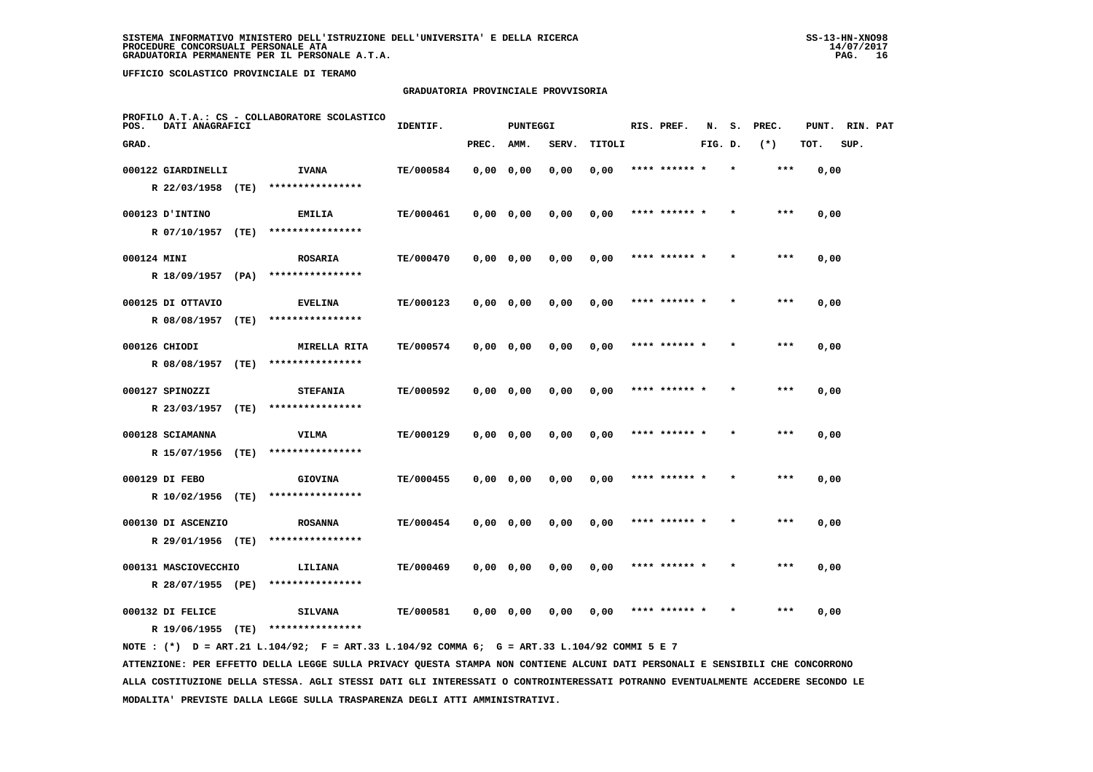# **GRADUATORIA PROVINCIALE PROVVISORIA**

| POS.        |                      | PROFILO A.T.A.: CS - COLLABORATORE SCOLASTICO<br>DATI ANAGRAFICI |                  | IDENTIF.<br>PUNTEGGI |           |           |       |        | RIS. PREF.    | N.      |  | PREC. | PUNT. | RIN. PAT |  |
|-------------|----------------------|------------------------------------------------------------------|------------------|----------------------|-----------|-----------|-------|--------|---------------|---------|--|-------|-------|----------|--|
| GRAD.       |                      |                                                                  |                  |                      | PREC.     | AMM.      | SERV. | TITOLI |               | FIG. D. |  | $(*)$ | TOT.  | SUP.     |  |
|             | 000122 GIARDINELLI   |                                                                  | <b>IVANA</b>     | TE/000584            | 0,0000,00 |           | 0,00  | 0,00   | **** ****** * |         |  | ***   | 0,00  |          |  |
|             | R 22/03/1958         | (TE)                                                             | **************** |                      |           |           |       |        |               |         |  |       |       |          |  |
|             | 000123 D'INTINO      |                                                                  | <b>EMILIA</b>    | TE/000461            |           | 0,0000,00 | 0,00  | 0,00   | **** ******   |         |  | $***$ | 0,00  |          |  |
|             | R 07/10/1957         | (TE)                                                             | **************** |                      |           |           |       |        |               |         |  |       |       |          |  |
| 000124 MINI |                      |                                                                  | <b>ROSARIA</b>   | TE/000470            | 0,0000,00 |           | 0,00  | 0,00   | **** ****** * |         |  | ***   | 0,00  |          |  |
|             | R 18/09/1957         | (PA)                                                             | **************** |                      |           |           |       |        |               |         |  |       |       |          |  |
|             | 000125 DI OTTAVIO    |                                                                  | <b>EVELINA</b>   | TE/000123            | 0,0000,00 |           | 0,00  | 0,00   | **** ****** * |         |  | $***$ | 0,00  |          |  |
|             | R 08/08/1957         | (TE)                                                             | **************** |                      |           |           |       |        |               |         |  |       |       |          |  |
|             | 000126 CHIODI        |                                                                  | MIRELLA RITA     | TE/000574            | 0,0000,00 |           | 0,00  | 0,00   | **** ****** * |         |  | $***$ | 0,00  |          |  |
|             | R 08/08/1957 (TE)    |                                                                  | **************** |                      |           |           |       |        |               |         |  |       |       |          |  |
|             | 000127 SPINOZZI      |                                                                  | <b>STEFANIA</b>  | TE/000592            | 0,0000,00 |           | 0,00  | 0,00   | **** ****** * |         |  | ***   | 0,00  |          |  |
|             | R 23/03/1957         | (TE)                                                             | **************** |                      |           |           |       |        |               |         |  |       |       |          |  |
|             | 000128 SCIAMANNA     |                                                                  | <b>VILMA</b>     | TE/000129            | 0,0000,00 |           | 0,00  | 0,00   |               |         |  | $***$ | 0,00  |          |  |
|             | R 15/07/1956         | (TE)                                                             | **************** |                      |           |           |       |        |               |         |  |       |       |          |  |
|             | 000129 DI FEBO       |                                                                  | <b>GIOVINA</b>   | TE/000455            |           | 0,0000,00 | 0,00  | 0,00   | **** ****** * |         |  | ***   | 0,00  |          |  |
|             | R 10/02/1956 (TE)    |                                                                  | **************** |                      |           |           |       |        |               |         |  |       |       |          |  |
|             | 000130 DI ASCENZIO   |                                                                  | <b>ROSANNA</b>   | TE/000454            | 0,0000,00 |           | 0,00  | 0,00   | **** ****** * |         |  | $***$ | 0,00  |          |  |
|             | R 29/01/1956 (TE)    |                                                                  | **************** |                      |           |           |       |        |               |         |  |       |       |          |  |
|             | 000131 MASCIOVECCHIO |                                                                  | LILIANA          | TE/000469            | 0,0000,00 |           | 0,00  | 0,00   | **** ****** * |         |  | ***   | 0,00  |          |  |
|             | R 28/07/1955 (PE)    |                                                                  | **************** |                      |           |           |       |        |               |         |  |       |       |          |  |
|             | 000132 DI FELICE     |                                                                  | <b>SILVANA</b>   | TE/000581            | 0,0000,00 |           | 0,00  | 0,00   |               |         |  | ***   | 0,00  |          |  |
|             | R 19/06/1955         | (TE)                                                             | **************** |                      |           |           |       |        |               |         |  |       |       |          |  |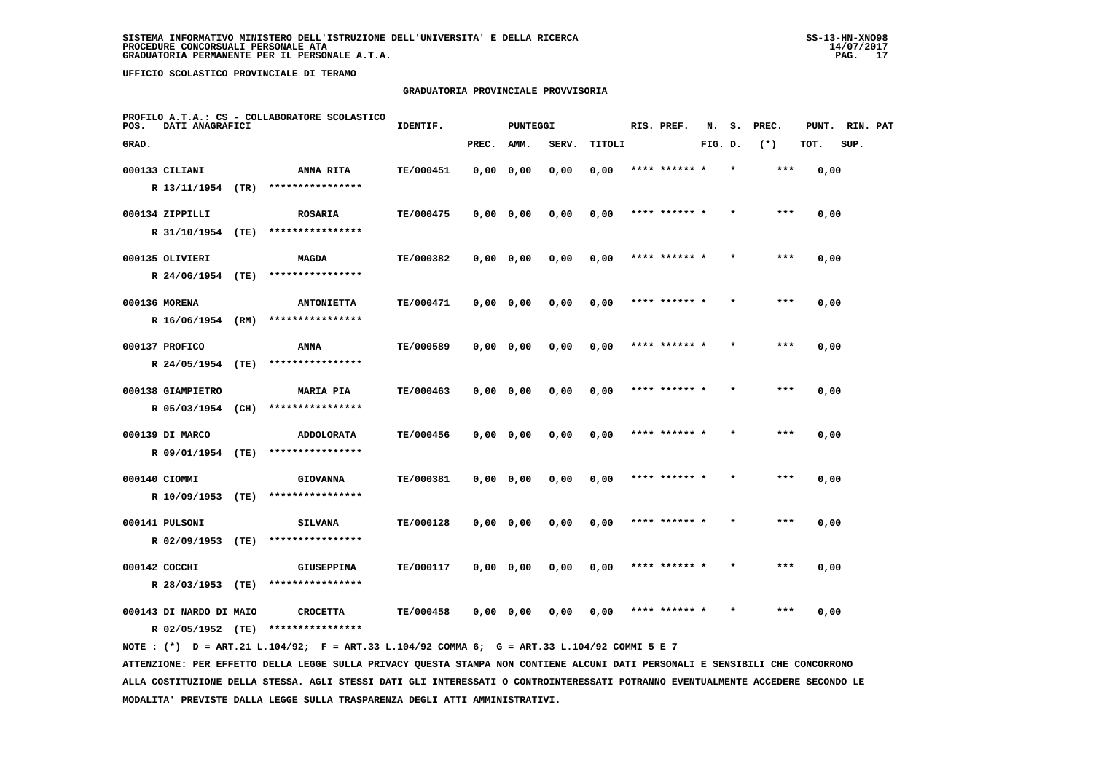# **GRADUATORIA PROVINCIALE PROVVISORIA**

| PROFILO A.T.A.: CS - COLLABORATORE SCOLASTICO<br>POS.<br>DATI ANAGRAFICI |                         |      |                                     | IDENTIF.  |           | <b>PUNTEGGI</b> |       |        | RIS. PREF. | N.            | s.      | PREC. | PUNT. | RIN. PAT |      |  |
|--------------------------------------------------------------------------|-------------------------|------|-------------------------------------|-----------|-----------|-----------------|-------|--------|------------|---------------|---------|-------|-------|----------|------|--|
| GRAD.                                                                    |                         |      |                                     |           | PREC.     | AMM.            | SERV. | TITOLI |            |               | FIG. D. |       | $(*)$ | TOT.     | SUP. |  |
|                                                                          | 000133 CILIANI          |      | ANNA RITA                           | TE/000451 | 0,0000,00 |                 | 0,00  | 0,00   |            | **** ****** * |         |       | ***   | 0,00     |      |  |
|                                                                          | R 13/11/1954 (TR)       |      | ****************                    |           |           |                 |       |        |            |               |         |       |       |          |      |  |
|                                                                          | 000134 ZIPPILLI         |      | <b>ROSARIA</b>                      | TE/000475 |           | 0,0000,00       | 0,00  | 0,00   |            | **** ****** * |         |       | ***   | 0,00     |      |  |
|                                                                          | R 31/10/1954 (TE)       |      | ****************                    |           |           |                 |       |        |            |               |         |       |       |          |      |  |
|                                                                          | 000135 OLIVIERI         |      | <b>MAGDA</b>                        | TE/000382 |           | 0,0000,00       | 0,00  | 0,00   |            | **** ******   |         |       | ***   | 0,00     |      |  |
|                                                                          | R 24/06/1954 (TE)       |      | ****************                    |           |           |                 |       |        |            |               |         |       |       |          |      |  |
|                                                                          | 000136 MORENA           |      | <b>ANTONIETTA</b>                   | TE/000471 |           | 0,0000,00       | 0,00  | 0,00   |            | **** ****** * |         |       | $***$ | 0,00     |      |  |
|                                                                          | R 16/06/1954 (RM)       |      | ****************                    |           |           |                 |       |        |            |               |         |       |       |          |      |  |
|                                                                          | 000137 PROFICO          |      | ANNA                                | TE/000589 |           | 0,0000,00       | 0,00  | 0,00   |            | **** ****** * |         |       | ***   | 0,00     |      |  |
|                                                                          | R 24/05/1954 (TE)       |      | ****************                    |           |           |                 |       |        |            |               |         |       |       |          |      |  |
|                                                                          | 000138 GIAMPIETRO       |      | <b>MARIA PIA</b>                    | TE/000463 | 0,0000,00 |                 | 0,00  | 0,00   | ****       |               |         |       | ***   | 0,00     |      |  |
|                                                                          | R 05/03/1954 (CH)       |      | ****************                    |           |           |                 |       |        |            |               |         |       |       |          |      |  |
|                                                                          | 000139 DI MARCO         |      | <b>ADDOLORATA</b>                   | TE/000456 |           | 0,0000,00       | 0,00  | 0,00   |            | **** ******   |         |       | ***   | 0,00     |      |  |
|                                                                          | R 09/01/1954 (TE)       |      | ****************                    |           |           |                 |       |        |            |               |         |       |       |          |      |  |
|                                                                          | 000140 CIOMMI           |      | <b>GIOVANNA</b>                     | TE/000381 |           | 0,0000,00       | 0,00  | 0,00   |            | **** ******   |         |       | ***   | 0,00     |      |  |
|                                                                          | R 10/09/1953            | (TE) | ****************                    |           |           |                 |       |        |            |               |         |       |       |          |      |  |
|                                                                          | 000141 PULSONI          |      | <b>SILVANA</b>                      | TE/000128 |           | 0,0000,00       | 0,00  | 0,00   |            | **** ****** * |         |       | $***$ | 0,00     |      |  |
|                                                                          | R 02/09/1953            | (TE) | ****************                    |           |           |                 |       |        |            |               |         |       |       |          |      |  |
|                                                                          | 000142 COCCHI           |      | <b>GIUSEPPINA</b>                   | TE/000117 | 0,0000,00 |                 | 0,00  | 0,00   |            | **** ****** * |         |       | ***   | 0,00     |      |  |
|                                                                          | R 28/03/1953 (TE)       |      | ****************                    |           |           |                 |       |        |            |               |         |       |       |          |      |  |
|                                                                          | 000143 DI NARDO DI MAIO |      | <b>CROCETTA</b><br>**************** | TE/000458 |           | 0,0000,00       | 0.00  | 0,00   |            | **** ******   |         |       | ***   | 0,00     |      |  |
|                                                                          | R 02/05/1952 (TE)       |      |                                     |           |           |                 |       |        |            |               |         |       |       |          |      |  |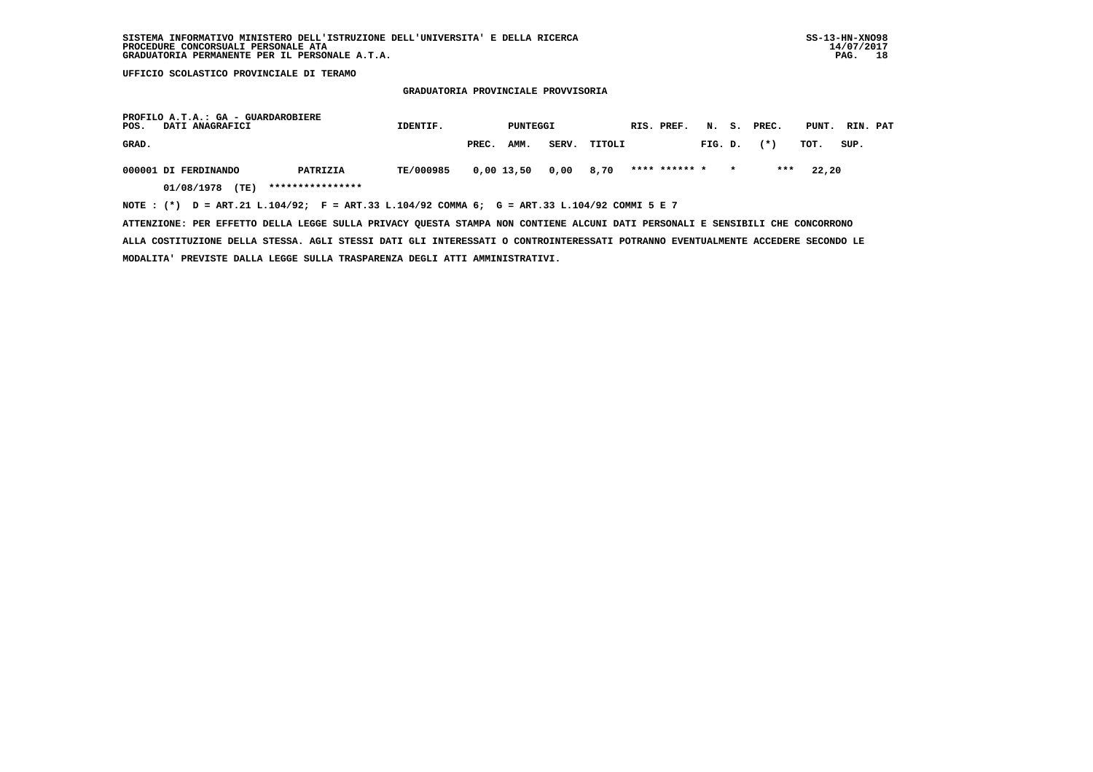**GRADUATORIA PROVINCIALE PROVVISORIA**

| PROFILO A.T.A.: GA - GUARDAROBIERE<br>POS.<br>DATI ANAGRAFICI                                  | IDENTIF.  |       |                      | PUNTEGGI |              |  | RIS. PREF.    |         |         | N. S. PREC. | PUNT. RIN. PAT |      |  |
|------------------------------------------------------------------------------------------------|-----------|-------|----------------------|----------|--------------|--|---------------|---------|---------|-------------|----------------|------|--|
| GRAD.                                                                                          |           | PREC. | AMM.                 |          | SERV. TITOLI |  |               | FIG. D. |         | $(\star)$   | тот.           | SUP. |  |
| 000001 DI FERDINANDO<br>PATRIZIA                                                               | TE/000985 |       | 0,00 13,50 0,00 8,70 |          |              |  | **** ****** * |         | $\star$ | ***         | 22,20          |      |  |
| 01/08/1978 (TE)<br>****************                                                            |           |       |                      |          |              |  |               |         |         |             |                |      |  |
| NOTE : $(*)$ D = ART.21 L.104/92; F = ART.33 L.104/92 COMMA 6; G = ART.33 L.104/92 COMMI 5 E 7 |           |       |                      |          |              |  |               |         |         |             |                |      |  |